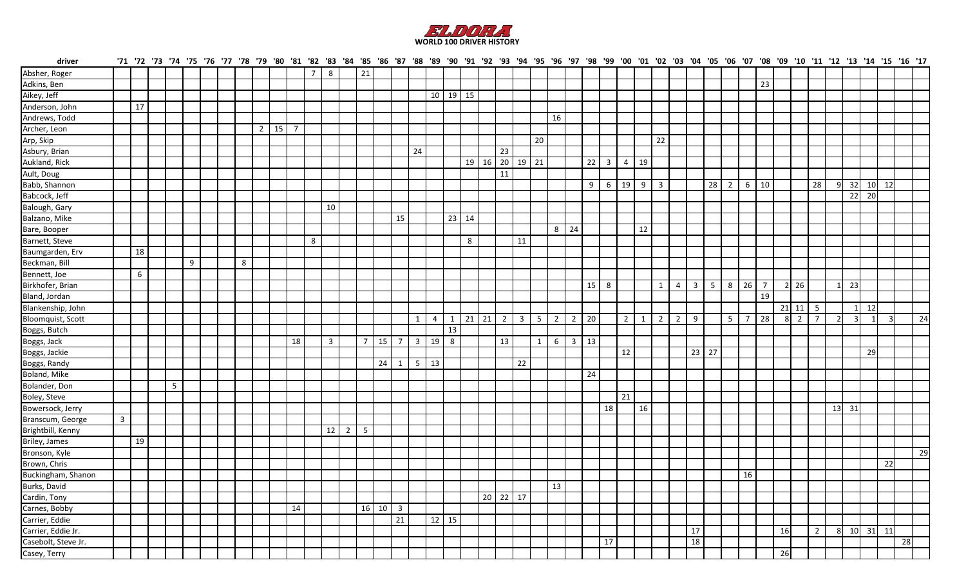

| driver                       |                |    |                 |   |  |   |                    |    |                |                         |   |                 |                     |                |                         |              |                      |            |                   |                      |            |              |                |                |                |                              |                |           |                |                |              |                    |                |                |                 |    |                     |                |                |                   |      |           |    |
|------------------------------|----------------|----|-----------------|---|--|---|--------------------|----|----------------|-------------------------|---|-----------------|---------------------|----------------|-------------------------|--------------|----------------------|------------|-------------------|----------------------|------------|--------------|----------------|----------------|----------------|------------------------------|----------------|-----------|----------------|----------------|--------------|--------------------|----------------|----------------|-----------------|----|---------------------|----------------|----------------|-------------------|------|-----------|----|
| Absher, Roger                |                |    |                 |   |  |   |                    |    | $\overline{7}$ | 8                       |   | 21              |                     |                |                         |              |                      |            |                   |                      |            |              |                |                |                |                              |                |           |                |                |              |                    |                |                |                 |    |                     |                |                |                   |      |           |    |
| Adkins, Ben                  |                |    |                 |   |  |   |                    |    |                |                         |   |                 |                     |                |                         |              |                      |            |                   |                      |            |              |                |                |                |                              |                |           |                |                |              |                    |                |                | 23              |    |                     |                |                |                   |      |           |    |
| Aikey, Jeff                  |                |    |                 |   |  |   |                    |    |                |                         |   |                 |                     |                |                         |              | $10 \mid 19 \mid 15$ |            |                   |                      |            |              |                |                |                |                              |                |           |                |                |              |                    |                |                |                 |    |                     |                |                |                   |      |           |    |
| Anderson, John               |                | 17 |                 |   |  |   |                    |    |                |                         |   |                 |                     |                |                         |              |                      |            |                   |                      |            |              |                |                |                |                              |                |           |                |                |              |                    |                |                |                 |    |                     |                |                |                   |      |           |    |
| Andrews, Todd                |                |    |                 |   |  |   |                    |    |                |                         |   |                 |                     |                |                         |              |                      |            |                   |                      |            |              | 16             |                |                |                              |                |           |                |                |              |                    |                |                |                 |    |                     |                |                |                   |      |           |    |
| Archer, Leon                 |                |    |                 |   |  |   | $2 \mid 15 \mid 7$ |    |                |                         |   |                 |                     |                |                         |              |                      |            |                   |                      |            |              |                |                |                |                              |                |           |                |                |              |                    |                |                |                 |    |                     |                |                |                   |      |           |    |
| Arp, Skip                    |                |    |                 |   |  |   |                    |    |                |                         |   |                 |                     |                |                         |              |                      |            |                   |                      |            | 20           |                |                |                |                              |                |           | 22             |                |              |                    |                |                |                 |    |                     |                |                |                   |      |           |    |
| Asbury, Brian                |                |    |                 |   |  |   |                    |    |                |                         |   |                 |                     |                | 24                      |              |                      |            |                   | 23                   |            |              |                |                |                |                              |                |           |                |                |              |                    |                |                |                 |    |                     |                |                |                   |      |           |    |
| Aukland, Rick                |                |    |                 |   |  |   |                    |    |                |                         |   |                 |                     |                |                         |              |                      |            |                   | 19 16 20 19 21       |            |              |                |                | $22 \mid 3$    |                              | $4 \mid 19$    |           |                |                |              |                    |                |                |                 |    |                     |                |                |                   |      |           |    |
| Ault, Doug                   |                |    |                 |   |  |   |                    |    |                |                         |   |                 |                     |                |                         |              |                      |            |                   | 11                   |            |              |                |                |                |                              |                |           |                |                |              |                    |                |                |                 |    |                     |                |                |                   |      |           |    |
| Babb, Shannon                |                |    |                 |   |  |   |                    |    |                |                         |   |                 |                     |                |                         |              |                      |            |                   |                      |            |              |                |                | 9 <sup>1</sup> | $6 \quad 19 \quad 9 \quad 3$ |                |           |                |                |              | 28                 | $\overline{2}$ | 6              | 10              |    |                     | 28             | -91            | 32                | 10   | 12        |    |
| Babcock, Jeff                |                |    |                 |   |  |   |                    |    |                |                         |   |                 |                     |                |                         |              |                      |            |                   |                      |            |              |                |                |                |                              |                |           |                |                |              |                    |                |                |                 |    |                     |                |                | 22                | - 20 |           |    |
| Balough, Gary                |                |    |                 |   |  |   |                    |    |                | 10                      |   |                 |                     |                |                         |              |                      |            |                   |                      |            |              |                |                |                |                              |                |           |                |                |              |                    |                |                |                 |    |                     |                |                |                   |      |           |    |
| Balzano, Mike                |                |    |                 |   |  |   |                    |    |                |                         |   |                 |                     | 15             |                         |              | 23                   | $\vert$ 14 |                   |                      |            |              |                |                |                |                              |                |           |                |                |              |                    |                |                |                 |    |                     |                |                |                   |      |           |    |
| Bare, Booper                 |                |    |                 |   |  |   |                    |    |                |                         |   |                 |                     |                |                         |              |                      |            |                   |                      |            |              | $8 \mid 24$    |                |                |                              |                | 12        |                |                |              |                    |                |                |                 |    |                     |                |                |                   |      |           |    |
| Barnett, Steve               |                |    |                 |   |  |   |                    |    | 8              |                         |   |                 |                     |                |                         |              |                      | 8          |                   |                      | 11         |              |                |                |                |                              |                |           |                |                |              |                    |                |                |                 |    |                     |                |                |                   |      |           |    |
| Baumgarden, Erv              |                | 18 |                 |   |  |   |                    |    |                |                         |   |                 |                     |                |                         |              |                      |            |                   |                      |            |              |                |                |                |                              |                |           |                |                |              |                    |                |                |                 |    |                     |                |                |                   |      |           |    |
| Beckman, Bill                |                |    |                 | 9 |  | 8 |                    |    |                |                         |   |                 |                     |                |                         |              |                      |            |                   |                      |            |              |                |                |                |                              |                |           |                |                |              |                    |                |                |                 |    |                     |                |                |                   |      |           |    |
| Bennett, Joe                 |                | 6  |                 |   |  |   |                    |    |                |                         |   |                 |                     |                |                         |              |                      |            |                   |                      |            |              |                |                |                |                              |                |           |                |                |              |                    |                |                |                 |    |                     |                |                |                   |      |           |    |
| Birkhofer, Brian             |                |    |                 |   |  |   |                    |    |                |                         |   |                 |                     |                |                         |              |                      |            |                   |                      |            |              |                |                | $15 \quad 8$   |                              |                |           | $1\vert$       | $4 \mid 3$     |              | $5 \mid 8 \mid 26$ |                |                | $7\overline{ }$ |    | $2 \overline{26}$   |                |                | $1 \overline{23}$ |      |           |    |
| Bland, Jordan                |                |    |                 |   |  |   |                    |    |                |                         |   |                 |                     |                |                         |              |                      |            |                   |                      |            |              |                |                |                |                              |                |           |                |                |              |                    |                |                | 19              |    |                     |                |                |                   |      |           |    |
| Blankenship, John            |                |    |                 |   |  |   |                    |    |                |                         |   |                 |                     |                |                         |              |                      |            |                   |                      |            |              |                |                |                |                              |                |           |                |                |              |                    |                |                |                 |    | $21 \mid 11 \mid 5$ |                |                | $\vert$ 1         | 12   |           |    |
| Bloomquist, Scott            |                |    |                 |   |  |   |                    |    |                |                         |   |                 |                     |                | 1                       | 4            | 1                    |            | $21 \mid 21 \mid$ | $\overline{2}$       | $3 \mid 5$ |              | $\overline{2}$ | $\overline{2}$ | 20             |                              | 2 <sup>1</sup> | $1 \vert$ | $\overline{2}$ | $\overline{2}$ | - 9          |                    | 5 <sup>1</sup> | $\overline{7}$ | 28              | 81 | $\overline{2}$      | $\overline{7}$ | $\overline{2}$ | 3                 |      | $\vert$ 3 | 24 |
| Boggs, Butch                 |                |    |                 |   |  |   |                    |    |                |                         |   |                 |                     |                |                         |              | 13                   |            |                   |                      |            |              |                |                |                |                              |                |           |                |                |              |                    |                |                |                 |    |                     |                |                |                   |      |           |    |
| Boggs, Jack                  |                |    |                 |   |  |   |                    | 18 |                | $\overline{\mathbf{3}}$ |   |                 | $7 \mid 15$         | $\overline{7}$ | $\overline{\mathbf{3}}$ | 19           | 8                    |            |                   | 13                   |            | $\mathbf{1}$ | 6              | $\vert$ 3      | 13             |                              |                |           |                |                |              |                    |                |                |                 |    |                     |                |                |                   |      |           |    |
| Boggs, Jackie                |                |    |                 |   |  |   |                    |    |                |                         |   |                 |                     |                |                         |              |                      |            |                   |                      |            |              |                |                |                |                              | 12             |           |                |                | $23 \mid 27$ |                    |                |                |                 |    |                     |                |                |                   | 29   |           |    |
| Boggs, Randy                 |                |    |                 |   |  |   |                    |    |                |                         |   |                 | 24                  | 1              | $\overline{5}$   13     |              |                      |            |                   |                      | 22         |              |                |                |                |                              |                |           |                |                |              |                    |                |                |                 |    |                     |                |                |                   |      |           |    |
| Boland, Mike                 |                |    |                 |   |  |   |                    |    |                |                         |   |                 |                     |                |                         |              |                      |            |                   |                      |            |              |                |                | 24             |                              |                |           |                |                |              |                    |                |                |                 |    |                     |                |                |                   |      |           |    |
| Bolander, Don                |                |    | $5\overline{)}$ |   |  |   |                    |    |                |                         |   |                 |                     |                |                         |              |                      |            |                   |                      |            |              |                |                |                |                              |                |           |                |                |              |                    |                |                |                 |    |                     |                |                |                   |      |           |    |
| Boley, Steve                 |                |    |                 |   |  |   |                    |    |                |                         |   |                 |                     |                |                         |              |                      |            |                   |                      |            |              |                |                |                |                              | 21             |           |                |                |              |                    |                |                |                 |    |                     |                |                |                   |      |           |    |
| Bowersock, Jerry             |                |    |                 |   |  |   |                    |    |                |                         |   |                 |                     |                |                         |              |                      |            |                   |                      |            |              |                |                |                | 18                           |                | 16        |                |                |              |                    |                |                |                 |    |                     |                | 13 31          |                   |      |           |    |
| Branscum, George             | $\overline{3}$ |    |                 |   |  |   |                    |    |                |                         |   |                 |                     |                |                         |              |                      |            |                   |                      |            |              |                |                |                |                              |                |           |                |                |              |                    |                |                |                 |    |                     |                |                |                   |      |           |    |
| Brightbill, Kenny            |                |    |                 |   |  |   |                    |    |                | 12                      | 2 | $5\overline{5}$ |                     |                |                         |              |                      |            |                   |                      |            |              |                |                |                |                              |                |           |                |                |              |                    |                |                |                 |    |                     |                |                |                   |      |           |    |
| Briley, James                |                | 19 |                 |   |  |   |                    |    |                |                         |   |                 |                     |                |                         |              |                      |            |                   |                      |            |              |                |                |                |                              |                |           |                |                |              |                    |                |                |                 |    |                     |                |                |                   |      |           |    |
| Bronson, Kyle                |                |    |                 |   |  |   |                    |    |                |                         |   |                 |                     |                |                         |              |                      |            |                   |                      |            |              |                |                |                |                              |                |           |                |                |              |                    |                |                |                 |    |                     |                |                |                   |      |           | 29 |
| Brown, Chris                 |                |    |                 |   |  |   |                    |    |                |                         |   |                 |                     |                |                         |              |                      |            |                   |                      |            |              |                |                |                |                              |                |           |                |                |              |                    |                |                |                 |    |                     |                |                |                   |      | 22        |    |
| Buckingham, Shanon           |                |    |                 |   |  |   |                    |    |                |                         |   |                 |                     |                |                         |              |                      |            |                   |                      |            |              |                |                |                |                              |                |           |                |                |              |                    |                | 16             |                 |    |                     |                |                |                   |      |           |    |
|                              |                |    |                 |   |  |   |                    |    |                |                         |   |                 |                     |                |                         |              |                      |            |                   |                      |            |              | 13             |                |                |                              |                |           |                |                |              |                    |                |                |                 |    |                     |                |                |                   |      |           |    |
| Burks, David<br>Cardin, Tony |                |    |                 |   |  |   |                    |    |                |                         |   |                 |                     |                |                         |              |                      |            |                   | $20 \mid 22 \mid 17$ |            |              |                |                |                |                              |                |           |                |                |              |                    |                |                |                 |    |                     |                |                |                   |      |           |    |
| Carnes, Bobby                |                |    |                 |   |  |   |                    | 14 |                |                         |   |                 | $16 \mid 10 \mid 3$ |                |                         |              |                      |            |                   |                      |            |              |                |                |                |                              |                |           |                |                |              |                    |                |                |                 |    |                     |                |                |                   |      |           |    |
| Carrier, Eddie               |                |    |                 |   |  |   |                    |    |                |                         |   |                 |                     | 21             |                         | $12 \mid 15$ |                      |            |                   |                      |            |              |                |                |                |                              |                |           |                |                |              |                    |                |                |                 |    |                     |                |                |                   |      |           |    |
| Carrier, Eddie Jr.           |                |    |                 |   |  |   |                    |    |                |                         |   |                 |                     |                |                         |              |                      |            |                   |                      |            |              |                |                |                |                              |                |           |                |                | 17           |                    |                |                |                 | 16 |                     | $\overline{2}$ |                | 8 10 31           |      | 11        |    |
| Casebolt, Steve Jr.          |                |    |                 |   |  |   |                    |    |                |                         |   |                 |                     |                |                         |              |                      |            |                   |                      |            |              |                |                |                | 17                           |                |           |                |                | $18\,$       |                    |                |                |                 |    |                     |                |                |                   |      |           | 28 |
| Casey, Terry                 |                |    |                 |   |  |   |                    |    |                |                         |   |                 |                     |                |                         |              |                      |            |                   |                      |            |              |                |                |                |                              |                |           |                |                |              |                    |                |                |                 | 26 |                     |                |                |                   |      |           |    |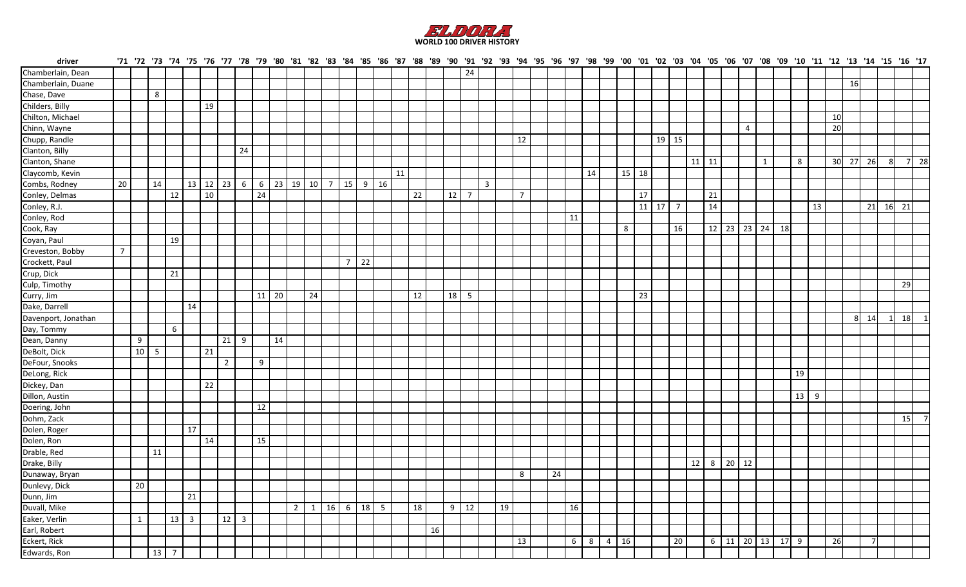

| driver                     |                 |              |    |                 |    |                      |                |                         |    |              |                |              |    |                |    |    |    |                 |    |             |    |              |    |                |    |    |                |                |              |              |       |                |            |                   |                |   |             |    |    |       |                 |                |                      |
|----------------------------|-----------------|--------------|----|-----------------|----|----------------------|----------------|-------------------------|----|--------------|----------------|--------------|----|----------------|----|----|----|-----------------|----|-------------|----|--------------|----|----------------|----|----|----------------|----------------|--------------|--------------|-------|----------------|------------|-------------------|----------------|---|-------------|----|----|-------|-----------------|----------------|----------------------|
| Chamberlain, Dean          |                 |              |    |                 |    |                      |                |                         |    |              |                |              |    |                |    |    |    |                 |    |             | 24 |              |    |                |    |    |                |                |              |              |       |                |            |                   |                |   |             |    |    |       |                 |                |                      |
| Chamberlain, Duane         |                 |              |    |                 |    |                      |                |                         |    |              |                |              |    |                |    |    |    |                 |    |             |    |              |    |                |    |    |                |                |              |              |       |                |            |                   |                |   |             |    |    | 16    |                 |                |                      |
| Chase, Dave                |                 |              | 8  |                 |    |                      |                |                         |    |              |                |              |    |                |    |    |    |                 |    |             |    |              |    |                |    |    |                |                |              |              |       |                |            |                   |                |   |             |    |    |       |                 |                |                      |
| Childers, Billy            |                 |              |    |                 |    | 19                   |                |                         |    |              |                |              |    |                |    |    |    |                 |    |             |    |              |    |                |    |    |                |                |              |              |       |                |            |                   |                |   |             |    |    |       |                 |                |                      |
| Chilton, Michael           |                 |              |    |                 |    |                      |                |                         |    |              |                |              |    |                |    |    |    |                 |    |             |    |              |    |                |    |    |                |                |              |              |       |                |            |                   |                |   |             |    | 10 |       |                 |                |                      |
| Chinn, Wayne               |                 |              |    |                 |    |                      |                |                         |    |              |                |              |    |                |    |    |    |                 |    |             |    |              |    |                |    |    |                |                |              |              |       |                |            |                   | $\overline{4}$ |   |             |    | 20 |       |                 |                |                      |
| Chupp, Randle              |                 |              |    |                 |    |                      |                |                         |    |              |                |              |    |                |    |    |    |                 |    |             |    |              |    | 12             |    |    |                |                |              |              | 19 15 |                |            |                   |                |   |             |    |    |       |                 |                |                      |
| Clanton, Billy             |                 |              |    |                 |    |                      |                | 24                      |    |              |                |              |    |                |    |    |    |                 |    |             |    |              |    |                |    |    |                |                |              |              |       |                |            |                   |                |   |             |    |    |       |                 |                |                      |
| Clanton, Shane             |                 |              |    |                 |    |                      |                |                         |    |              |                |              |    |                |    |    |    |                 |    |             |    |              |    |                |    |    |                |                |              |              |       |                | 11         | 11                |                | 1 | 8           |    |    | 30 27 | 26              | 8 <sup>1</sup> | 7 28                 |
| Claycomb, Kevin            |                 |              |    |                 |    |                      |                |                         |    |              |                |              |    |                |    |    | 11 |                 |    |             |    |              |    |                |    |    | 14             |                | $15 \mid 18$ |              |       |                |            |                   |                |   |             |    |    |       |                 |                |                      |
| Combs, Rodney              | 20              |              | 14 |                 |    | $13 \mid 12 \mid 23$ |                | 6                       |    |              | $6$ 23 19 10 7 |              |    | 15             | 9  | 16 |    |                 |    |             |    | $\mathbf{3}$ |    |                |    |    |                |                |              |              |       |                |            |                   |                |   |             |    |    |       |                 |                |                      |
| Conley, Delmas             |                 |              |    | 12              |    | 10                   |                |                         | 24 |              |                |              |    |                |    |    |    | $\overline{22}$ |    | $12 \mid 7$ |    |              |    | $\overline{7}$ |    |    |                |                |              | 17           |       |                |            | 21                |                |   |             |    |    |       |                 |                |                      |
| Conley, R.J.               |                 |              |    |                 |    |                      |                |                         |    |              |                |              |    |                |    |    |    |                 |    |             |    |              |    |                |    |    |                |                |              | $11 \mid 17$ |       | $\overline{7}$ |            | 14                |                |   |             | 13 |    |       | 21              | 16 21          |                      |
| Conley, Rod                |                 |              |    |                 |    |                      |                |                         |    |              |                |              |    |                |    |    |    |                 |    |             |    |              |    |                |    | 11 |                |                |              |              |       |                |            |                   |                |   |             |    |    |       |                 |                |                      |
| Cook, Ray                  |                 |              |    |                 |    |                      |                |                         |    |              |                |              |    |                |    |    |    |                 |    |             |    |              |    |                |    |    |                |                | 8            |              |       | 16             |            | 12 23 23 24 18    |                |   |             |    |    |       |                 |                |                      |
| Coyan, Paul                |                 |              |    | 19              |    |                      |                |                         |    |              |                |              |    |                |    |    |    |                 |    |             |    |              |    |                |    |    |                |                |              |              |       |                |            |                   |                |   |             |    |    |       |                 |                |                      |
| Creveston, Bobby           | $7\overline{ }$ |              |    |                 |    |                      |                |                         |    |              |                |              |    |                |    |    |    |                 |    |             |    |              |    |                |    |    |                |                |              |              |       |                |            |                   |                |   |             |    |    |       |                 |                |                      |
| Crockett, Paul             |                 |              |    |                 |    |                      |                |                         |    |              |                |              |    | 7 <sup>1</sup> | 22 |    |    |                 |    |             |    |              |    |                |    |    |                |                |              |              |       |                |            |                   |                |   |             |    |    |       |                 |                |                      |
| Crup, Dick                 |                 |              |    | $\overline{21}$ |    |                      |                |                         |    |              |                |              |    |                |    |    |    |                 |    |             |    |              |    |                |    |    |                |                |              |              |       |                |            |                   |                |   |             |    |    |       |                 |                |                      |
| Culp, Timothy              |                 |              |    |                 |    |                      |                |                         |    |              |                |              |    |                |    |    |    |                 |    |             |    |              |    |                |    |    |                |                |              |              |       |                |            |                   |                |   |             |    |    |       |                 |                | 29                   |
| Curry, Jim                 |                 |              |    |                 |    |                      |                |                         |    | $11 \mid 20$ |                | 24           |    |                |    |    |    | 12              |    | $18 \mid 5$ |    |              |    |                |    |    |                |                |              | 23           |       |                |            |                   |                |   |             |    |    |       |                 |                |                      |
| Dake, Darrell              |                 |              |    |                 | 14 |                      |                |                         |    |              |                |              |    |                |    |    |    |                 |    |             |    |              |    |                |    |    |                |                |              |              |       |                |            |                   |                |   |             |    |    |       |                 |                |                      |
| Davenport, Jonathan        |                 |              |    |                 |    |                      |                |                         |    |              |                |              |    |                |    |    |    |                 |    |             |    |              |    |                |    |    |                |                |              |              |       |                |            |                   |                |   |             |    |    | 8     | 14              |                | 18<br>$\overline{1}$ |
| Day, Tommy                 |                 |              |    | 6               |    |                      |                |                         |    |              |                |              |    |                |    |    |    |                 |    |             |    |              |    |                |    |    |                |                |              |              |       |                |            |                   |                |   |             |    |    |       |                 |                |                      |
| Dean, Danny                |                 | 9            |    |                 |    |                      | 21             | 9                       |    | 14           |                |              |    |                |    |    |    |                 |    |             |    |              |    |                |    |    |                |                |              |              |       |                |            |                   |                |   |             |    |    |       |                 |                |                      |
| DeBolt, Dick               |                 | $10 \mid 5$  |    |                 |    | 21                   |                |                         |    |              |                |              |    |                |    |    |    |                 |    |             |    |              |    |                |    |    |                |                |              |              |       |                |            |                   |                |   |             |    |    |       |                 |                |                      |
| DeFour, Snooks             |                 |              |    |                 |    |                      | $\overline{2}$ |                         | 9  |              |                |              |    |                |    |    |    |                 |    |             |    |              |    |                |    |    |                |                |              |              |       |                |            |                   |                |   |             |    |    |       |                 |                |                      |
| DeLong, Rick               |                 |              |    |                 |    |                      |                |                         |    |              |                |              |    |                |    |    |    |                 |    |             |    |              |    |                |    |    |                |                |              |              |       |                |            |                   |                |   | 19          |    |    |       |                 |                |                      |
| Dickey, Dan                |                 |              |    |                 |    | 22                   |                |                         |    |              |                |              |    |                |    |    |    |                 |    |             |    |              |    |                |    |    |                |                |              |              |       |                |            |                   |                |   |             |    |    |       |                 |                |                      |
| Dillon, Austin             |                 |              |    |                 |    |                      |                |                         |    |              |                |              |    |                |    |    |    |                 |    |             |    |              |    |                |    |    |                |                |              |              |       |                |            |                   |                |   | $13 \mid 9$ |    |    |       |                 |                |                      |
| Doering, John              |                 |              |    |                 |    |                      |                |                         | 12 |              |                |              |    |                |    |    |    |                 |    |             |    |              |    |                |    |    |                |                |              |              |       |                |            |                   |                |   |             |    |    |       |                 |                |                      |
| Dohm, Zack                 |                 |              |    |                 |    |                      |                |                         |    |              |                |              |    |                |    |    |    |                 |    |             |    |              |    |                |    |    |                |                |              |              |       |                |            |                   |                |   |             |    |    |       |                 |                | 15                   |
| Dolen, Roger               |                 |              |    |                 | 17 |                      |                |                         |    |              |                |              |    |                |    |    |    |                 |    |             |    |              |    |                |    |    |                |                |              |              |       |                |            |                   |                |   |             |    |    |       |                 |                |                      |
| Dolen, Ron                 |                 |              |    |                 |    | 14                   |                |                         | 15 |              |                |              |    |                |    |    |    |                 |    |             |    |              |    |                |    |    |                |                |              |              |       |                |            |                   |                |   |             |    |    |       |                 |                |                      |
| Drable, Red                |                 |              | 11 |                 |    |                      |                |                         |    |              |                |              |    |                |    |    |    |                 |    |             |    |              |    |                |    |    |                |                |              |              |       |                |            |                   |                |   |             |    |    |       |                 |                |                      |
| Drake, Billy               |                 |              |    |                 |    |                      |                |                         |    |              |                |              |    |                |    |    |    |                 |    |             |    |              |    |                |    |    |                |                |              |              |       |                | 12 8 20 12 |                   |                |   |             |    |    |       |                 |                |                      |
| Dunaway, Bryan             |                 |              |    |                 |    |                      |                |                         |    |              |                |              |    |                |    |    |    |                 |    |             |    |              |    | 8              | 24 |    |                |                |              |              |       |                |            |                   |                |   |             |    |    |       |                 |                |                      |
|                            |                 | 20           |    |                 |    |                      |                |                         |    |              |                |              |    |                |    |    |    |                 |    |             |    |              |    |                |    |    |                |                |              |              |       |                |            |                   |                |   |             |    |    |       |                 |                |                      |
| Dunlevy, Dick<br>Dunn, Jim |                 |              |    |                 | 21 |                      |                |                         |    |              |                |              |    |                |    |    |    |                 |    |             |    |              |    |                |    |    |                |                |              |              |       |                |            |                   |                |   |             |    |    |       |                 |                |                      |
| Duvall, Mike               |                 |              |    |                 |    |                      |                |                         |    |              | 2 <sup>1</sup> | $\mathbf{1}$ | 16 | 6              | 18 | 5  |    | 18              |    | 9           | 12 |              | 19 |                |    | 16 |                |                |              |              |       |                |            |                   |                |   |             |    |    |       |                 |                |                      |
| Eaker, Verlin              |                 | $\mathbf{1}$ |    | $13 \mid 3$     |    |                      | 12             | $\overline{\mathbf{3}}$ |    |              |                |              |    |                |    |    |    |                 |    |             |    |              |    |                |    |    |                |                |              |              |       |                |            |                   |                |   |             |    |    |       |                 |                |                      |
| Earl, Robert               |                 |              |    |                 |    |                      |                |                         |    |              |                |              |    |                |    |    |    |                 | 16 |             |    |              |    |                |    |    |                |                |              |              |       |                |            |                   |                |   |             |    |    |       |                 |                |                      |
| Eckert, Rick               |                 |              |    |                 |    |                      |                |                         |    |              |                |              |    |                |    |    |    |                 |    |             |    |              |    | 13             |    | 6  | $8\phantom{.}$ | $\overline{4}$ | 16           |              |       | 20             |            | $6$ 11 20 13 17 9 |                |   |             |    | 26 |       | $7 \frac{1}{2}$ |                |                      |
| Edwards, Ron               |                 |              | 13 | $\overline{7}$  |    |                      |                |                         |    |              |                |              |    |                |    |    |    |                 |    |             |    |              |    |                |    |    |                |                |              |              |       |                |            |                   |                |   |             |    |    |       |                 |                |                      |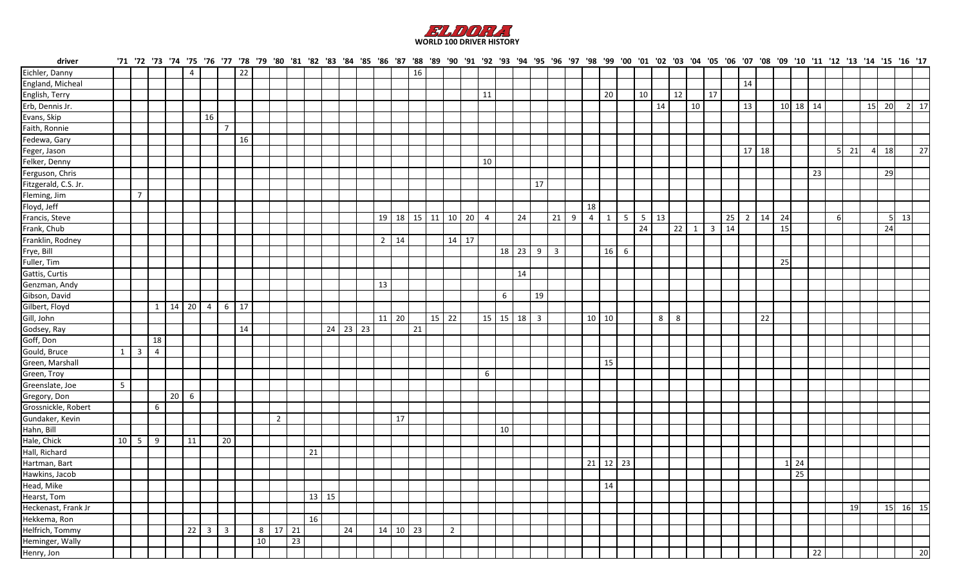

| driver               |                |                          |                |                       |                 |                |                |                 |    |                |    |    |              |                      |    |                      |                 |                |                   |                |    |                           |                |             |                |                      |                |                 |            |             |    | 17' 16' 15' 12' 11' 12' 10' 00' 07' 06' 07' 08' 08' 02' 02' 10' 00' 09' 09' 09' 09' 09' 09' 08' 89' 89' 88' 89' 89' 89' 89' 89' 78' 77' 78' 14' 12' 13' 14' 12' 13' 14' 12' 13' 14' 12' 13' 14' 12' 13' 14' 12' 13' 14' 12' 13 |    |             |    |    |          |                 |          |        |    |                 |       |                 |
|----------------------|----------------|--------------------------|----------------|-----------------------|-----------------|----------------|----------------|-----------------|----|----------------|----|----|--------------|----------------------|----|----------------------|-----------------|----------------|-------------------|----------------|----|---------------------------|----------------|-------------|----------------|----------------------|----------------|-----------------|------------|-------------|----|--------------------------------------------------------------------------------------------------------------------------------------------------------------------------------------------------------------------------------|----|-------------|----|----|----------|-----------------|----------|--------|----|-----------------|-------|-----------------|
| Eichler, Danny       |                |                          |                |                       | $\overline{4}$  |                |                | $\overline{22}$ |    |                |    |    |              |                      |    |                      | 16              |                |                   |                |    |                           |                |             |                |                      |                |                 |            |             |    |                                                                                                                                                                                                                                |    |             |    |    |          |                 |          |        |    |                 |       |                 |
| England, Micheal     |                |                          |                |                       |                 |                |                |                 |    |                |    |    |              |                      |    |                      |                 |                |                   |                |    |                           |                |             |                |                      |                |                 |            |             |    |                                                                                                                                                                                                                                |    | 14          |    |    |          |                 |          |        |    |                 |       |                 |
| English, Terry       |                |                          |                |                       |                 |                |                |                 |    |                |    |    |              |                      |    |                      |                 |                |                   | 11             |    |                           |                |             |                | 20                   |                | 10              |            | 12          |    | 17                                                                                                                                                                                                                             |    |             |    |    |          |                 |          |        |    |                 |       |                 |
| Erb, Dennis Jr.      |                |                          |                |                       |                 |                |                |                 |    |                |    |    |              |                      |    |                      |                 |                |                   |                |    |                           |                |             |                |                      |                |                 | 14         |             | 10 |                                                                                                                                                                                                                                |    | 13          |    |    | 10 18 14 |                 |          |        | 15 | 20 l            |       | 2 17            |
| Evans, Skip          |                |                          |                |                       |                 | 16             |                |                 |    |                |    |    |              |                      |    |                      |                 |                |                   |                |    |                           |                |             |                |                      |                |                 |            |             |    |                                                                                                                                                                                                                                |    |             |    |    |          |                 |          |        |    |                 |       |                 |
| Faith, Ronnie        |                |                          |                |                       |                 |                | $\overline{7}$ |                 |    |                |    |    |              |                      |    |                      |                 |                |                   |                |    |                           |                |             |                |                      |                |                 |            |             |    |                                                                                                                                                                                                                                |    |             |    |    |          |                 |          |        |    |                 |       |                 |
| Fedewa, Gary         |                |                          |                |                       |                 |                |                | 16              |    |                |    |    |              |                      |    |                      |                 |                |                   |                |    |                           |                |             |                |                      |                |                 |            |             |    |                                                                                                                                                                                                                                |    |             |    |    |          |                 |          |        |    |                 |       |                 |
| Feger, Jason         |                |                          |                |                       |                 |                |                |                 |    |                |    |    |              |                      |    |                      |                 |                |                   |                |    |                           |                |             |                |                      |                |                 |            |             |    |                                                                                                                                                                                                                                |    | 17 18       |    |    |          |                 |          | $5$ 21 | 4  | 18              |       | 27              |
| Felker, Denny        |                |                          |                |                       |                 |                |                |                 |    |                |    |    |              |                      |    |                      |                 |                |                   | 10             |    |                           |                |             |                |                      |                |                 |            |             |    |                                                                                                                                                                                                                                |    |             |    |    |          |                 |          |        |    |                 |       |                 |
| Ferguson, Chris      |                |                          |                |                       |                 |                |                |                 |    |                |    |    |              |                      |    |                      |                 |                |                   |                |    |                           |                |             |                |                      |                |                 |            |             |    |                                                                                                                                                                                                                                |    |             |    |    |          | 23              |          |        |    | 29              |       |                 |
| Fitzgerald, C.S. Jr. |                |                          |                |                       |                 |                |                |                 |    |                |    |    |              |                      |    |                      |                 |                |                   |                |    |                           | 17             |             |                |                      |                |                 |            |             |    |                                                                                                                                                                                                                                |    |             |    |    |          |                 |          |        |    |                 |       |                 |
| Fleming, Jim         |                | 7                        |                |                       |                 |                |                |                 |    |                |    |    |              |                      |    |                      |                 |                |                   |                |    |                           |                |             |                |                      |                |                 |            |             |    |                                                                                                                                                                                                                                |    |             |    |    |          |                 |          |        |    |                 |       |                 |
| Floyd, Jeff          |                |                          |                |                       |                 |                |                |                 |    |                |    |    |              |                      |    |                      |                 |                |                   |                |    |                           |                |             | 18             |                      |                |                 |            |             |    |                                                                                                                                                                                                                                |    |             |    |    |          |                 |          |        |    |                 |       |                 |
| Francis, Steve       |                |                          |                |                       |                 |                |                |                 |    |                |    |    |              |                      |    |                      |                 |                | 19 18 15 11 10 20 | $\overline{4}$ |    | 24                        |                | $21 \mid 9$ | $\overline{4}$ | $\mathbf{1}$         | 5 <sup>1</sup> | 5 <sub>1</sub>  | 13         |             |    |                                                                                                                                                                                                                                | 25 | $2 \mid 14$ |    | 24 |          |                 | $6 \mid$ |        |    | 5 <sup>1</sup>  | 13    |                 |
| Frank, Chub          |                |                          |                |                       |                 |                |                |                 |    |                |    |    |              |                      |    |                      |                 |                |                   |                |    |                           |                |             |                |                      |                | $\overline{24}$ |            | $22 \mid 1$ |    | 14<br>$\overline{\mathbf{3}}$                                                                                                                                                                                                  |    |             |    | 15 |          |                 |          |        |    | $\overline{24}$ |       |                 |
| Franklin, Rodney     |                |                          |                |                       |                 |                |                |                 |    |                |    |    |              |                      |    | $2 \mid 14$          |                 |                | $14 \mid 17$      |                |    |                           |                |             |                |                      |                |                 |            |             |    |                                                                                                                                                                                                                                |    |             |    |    |          |                 |          |        |    |                 |       |                 |
| Frye, Bill           |                |                          |                |                       |                 |                |                |                 |    |                |    |    |              |                      |    |                      |                 |                |                   |                |    | 18 23 9 3                 |                |             |                | 16                   | 6              |                 |            |             |    |                                                                                                                                                                                                                                |    |             |    |    |          |                 |          |        |    |                 |       |                 |
| Fuller, Tim          |                |                          |                |                       |                 |                |                |                 |    |                |    |    |              |                      |    |                      |                 |                |                   |                |    |                           |                |             |                |                      |                |                 |            |             |    |                                                                                                                                                                                                                                |    |             |    | 25 |          |                 |          |        |    |                 |       |                 |
| Gattis, Curtis       |                |                          |                |                       |                 |                |                |                 |    |                |    |    |              |                      |    |                      |                 |                |                   |                |    | 14                        |                |             |                |                      |                |                 |            |             |    |                                                                                                                                                                                                                                |    |             |    |    |          |                 |          |        |    |                 |       |                 |
| Genzman, Andy        |                |                          |                |                       |                 |                |                |                 |    |                |    |    |              |                      | 13 |                      |                 |                |                   |                |    |                           |                |             |                |                      |                |                 |            |             |    |                                                                                                                                                                                                                                |    |             |    |    |          |                 |          |        |    |                 |       |                 |
| Gibson, David        |                |                          |                |                       |                 |                |                |                 |    |                |    |    |              |                      |    |                      |                 |                |                   |                | 6  |                           | 19             |             |                |                      |                |                 |            |             |    |                                                                                                                                                                                                                                |    |             |    |    |          |                 |          |        |    |                 |       |                 |
| Gilbert, Floyd       |                |                          |                | $1 \quad 14 \quad 20$ |                 | $\overline{4}$ |                | $6 \mid 17$     |    |                |    |    |              |                      |    |                      |                 |                |                   |                |    |                           |                |             |                |                      |                |                 |            |             |    |                                                                                                                                                                                                                                |    |             |    |    |          |                 |          |        |    |                 |       |                 |
| Gill, John           |                |                          |                |                       |                 |                |                |                 |    |                |    |    |              |                      |    | $11 20$              |                 | $15$ 22        |                   |                |    | $15 \mid 15 \mid 18 \mid$ | $\overline{3}$ |             |                | 10 10                |                |                 | $8 \mid 8$ |             |    |                                                                                                                                                                                                                                |    |             | 22 |    |          |                 |          |        |    |                 |       |                 |
| Godsey, Ray          |                |                          |                |                       |                 |                |                | 14              |    |                |    |    |              | $24 \mid 23 \mid 23$ |    |                      | $\overline{21}$ |                |                   |                |    |                           |                |             |                |                      |                |                 |            |             |    |                                                                                                                                                                                                                                |    |             |    |    |          |                 |          |        |    |                 |       |                 |
| Goff, Don            |                |                          | 18             |                       |                 |                |                |                 |    |                |    |    |              |                      |    |                      |                 |                |                   |                |    |                           |                |             |                |                      |                |                 |            |             |    |                                                                                                                                                                                                                                |    |             |    |    |          |                 |          |        |    |                 |       |                 |
| Gould, Bruce         | 1 <sup>1</sup> | $\overline{\mathbf{3}}$  | $\overline{4}$ |                       |                 |                |                |                 |    |                |    |    |              |                      |    |                      |                 |                |                   |                |    |                           |                |             |                |                      |                |                 |            |             |    |                                                                                                                                                                                                                                |    |             |    |    |          |                 |          |        |    |                 |       |                 |
| Green, Marshall      |                |                          |                |                       |                 |                |                |                 |    |                |    |    |              |                      |    |                      |                 |                |                   |                |    |                           |                |             |                | 15                   |                |                 |            |             |    |                                                                                                                                                                                                                                |    |             |    |    |          |                 |          |        |    |                 |       |                 |
| Green, Troy          |                |                          |                |                       |                 |                |                |                 |    |                |    |    |              |                      |    |                      |                 |                |                   | 6              |    |                           |                |             |                |                      |                |                 |            |             |    |                                                                                                                                                                                                                                |    |             |    |    |          |                 |          |        |    |                 |       |                 |
| Greenslate, Joe      | 5 <sup>5</sup> |                          |                |                       |                 |                |                |                 |    |                |    |    |              |                      |    |                      |                 |                |                   |                |    |                           |                |             |                |                      |                |                 |            |             |    |                                                                                                                                                                                                                                |    |             |    |    |          |                 |          |        |    |                 |       |                 |
| Gregory, Don         |                |                          |                | 20 <sup>1</sup>       | $6\phantom{.}6$ |                |                |                 |    |                |    |    |              |                      |    |                      |                 |                |                   |                |    |                           |                |             |                |                      |                |                 |            |             |    |                                                                                                                                                                                                                                |    |             |    |    |          |                 |          |        |    |                 |       |                 |
| Grossnickle, Robert  |                |                          | 6              |                       |                 |                |                |                 |    |                |    |    |              |                      |    |                      |                 |                |                   |                |    |                           |                |             |                |                      |                |                 |            |             |    |                                                                                                                                                                                                                                |    |             |    |    |          |                 |          |        |    |                 |       |                 |
| Gundaker, Kevin      |                |                          |                |                       |                 |                |                |                 |    | $\overline{2}$ |    |    |              |                      |    | 17                   |                 |                |                   |                |    |                           |                |             |                |                      |                |                 |            |             |    |                                                                                                                                                                                                                                |    |             |    |    |          |                 |          |        |    |                 |       |                 |
| Hahn, Bill           |                |                          |                |                       |                 |                |                |                 |    |                |    |    |              |                      |    |                      |                 |                |                   |                | 10 |                           |                |             |                |                      |                |                 |            |             |    |                                                                                                                                                                                                                                |    |             |    |    |          |                 |          |        |    |                 |       |                 |
| Hale, Chick          | 10 I           | $\overline{\phantom{0}}$ | $\overline{9}$ |                       | 11              |                | 20             |                 |    |                |    |    |              |                      |    |                      |                 |                |                   |                |    |                           |                |             |                |                      |                |                 |            |             |    |                                                                                                                                                                                                                                |    |             |    |    |          |                 |          |        |    |                 |       |                 |
| Hall, Richard        |                |                          |                |                       |                 |                |                |                 |    |                |    | 21 |              |                      |    |                      |                 |                |                   |                |    |                           |                |             |                |                      |                |                 |            |             |    |                                                                                                                                                                                                                                |    |             |    |    |          |                 |          |        |    |                 |       |                 |
| Hartman, Bart        |                |                          |                |                       |                 |                |                |                 |    |                |    |    |              |                      |    |                      |                 |                |                   |                |    |                           |                |             |                | $21 \mid 12 \mid 23$ |                |                 |            |             |    |                                                                                                                                                                                                                                |    |             |    | 1  | 24       |                 |          |        |    |                 |       |                 |
| Hawkins, Jacob       |                |                          |                |                       |                 |                |                |                 |    |                |    |    |              |                      |    |                      |                 |                |                   |                |    |                           |                |             |                |                      |                |                 |            |             |    |                                                                                                                                                                                                                                |    |             |    |    | 25       |                 |          |        |    |                 |       |                 |
| Head, Mike           |                |                          |                |                       |                 |                |                |                 |    |                |    |    |              |                      |    |                      |                 |                |                   |                |    |                           |                |             |                | 14                   |                |                 |            |             |    |                                                                                                                                                                                                                                |    |             |    |    |          |                 |          |        |    |                 |       |                 |
| Hearst, Tom          |                |                          |                |                       |                 |                |                |                 |    |                |    |    | $13 \mid 15$ |                      |    |                      |                 |                |                   |                |    |                           |                |             |                |                      |                |                 |            |             |    |                                                                                                                                                                                                                                |    |             |    |    |          |                 |          |        |    |                 |       |                 |
| Heckenast, Frank Jr  |                |                          |                |                       |                 |                |                |                 |    |                |    |    |              |                      |    |                      |                 |                |                   |                |    |                           |                |             |                |                      |                |                 |            |             |    |                                                                                                                                                                                                                                |    |             |    |    |          |                 |          | 19     |    | 15              | 16 15 |                 |
| Hekkema, Ron         |                |                          |                |                       |                 |                |                |                 |    |                |    | 16 |              |                      |    |                      |                 |                |                   |                |    |                           |                |             |                |                      |                |                 |            |             |    |                                                                                                                                                                                                                                |    |             |    |    |          |                 |          |        |    |                 |       |                 |
| Helfrich, Tommy      |                |                          |                |                       | $22 \mid 3$     |                | $\overline{3}$ |                 |    | $8 \mid 17$    | 21 |    |              | 24                   |    | $14 \mid 10 \mid 23$ |                 | $\overline{2}$ |                   |                |    |                           |                |             |                |                      |                |                 |            |             |    |                                                                                                                                                                                                                                |    |             |    |    |          |                 |          |        |    |                 |       |                 |
| Heminger, Wally      |                |                          |                |                       |                 |                |                |                 | 10 |                | 23 |    |              |                      |    |                      |                 |                |                   |                |    |                           |                |             |                |                      |                |                 |            |             |    |                                                                                                                                                                                                                                |    |             |    |    |          |                 |          |        |    |                 |       |                 |
| Henry, Jon           |                |                          |                |                       |                 |                |                |                 |    |                |    |    |              |                      |    |                      |                 |                |                   |                |    |                           |                |             |                |                      |                |                 |            |             |    |                                                                                                                                                                                                                                |    |             |    |    |          | $\overline{22}$ |          |        |    |                 |       | $\overline{20}$ |
|                      |                |                          |                |                       |                 |                |                |                 |    |                |    |    |              |                      |    |                      |                 |                |                   |                |    |                           |                |             |                |                      |                |                 |            |             |    |                                                                                                                                                                                                                                |    |             |    |    |          |                 |          |        |    |                 |       |                 |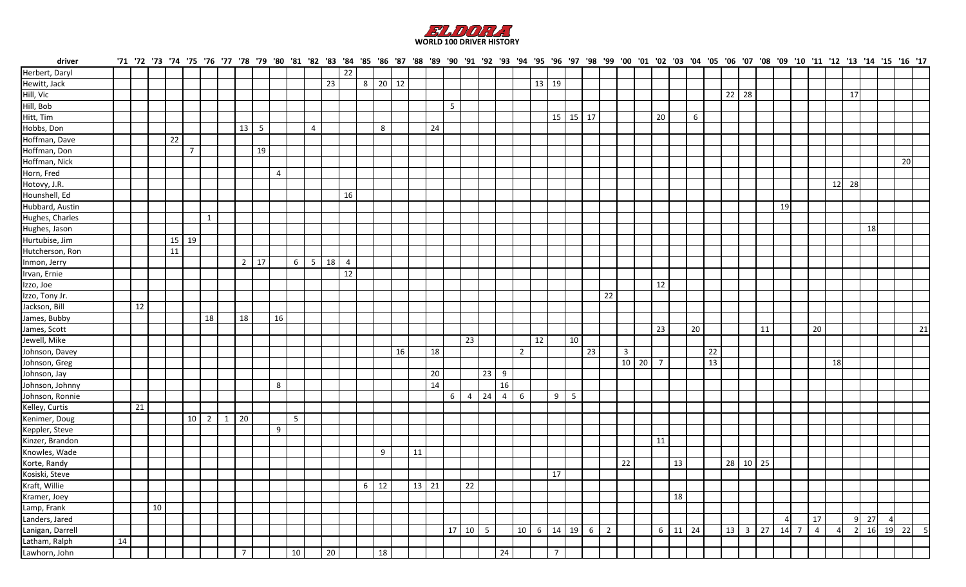

| Herbert, Daryl<br>22<br>Hewitt, Jack<br>13 19<br>23<br>8 20 12<br>Hill, Vic<br>$22 \mid 28$<br>17<br>5<br>$15 \mid 15 \mid 17$<br>$\overline{20}$<br>6<br>$13 \mid 5$<br>24<br>8<br>$\overline{4}$<br>22                                   |      |
|--------------------------------------------------------------------------------------------------------------------------------------------------------------------------------------------------------------------------------------------|------|
|                                                                                                                                                                                                                                            |      |
| Hill, Bob<br>Hitt, Tim<br>Hobbs, Don<br>Hoffman, Dave                                                                                                                                                                                      |      |
|                                                                                                                                                                                                                                            |      |
|                                                                                                                                                                                                                                            |      |
|                                                                                                                                                                                                                                            |      |
|                                                                                                                                                                                                                                            |      |
|                                                                                                                                                                                                                                            |      |
| Hoffman, Don<br>19<br>$\overline{7}$                                                                                                                                                                                                       |      |
| Hoffman, Nick<br>20                                                                                                                                                                                                                        |      |
| Horn, Fred<br>$\overline{4}$                                                                                                                                                                                                               |      |
| Hotovy, J.R.<br>$12$ 28                                                                                                                                                                                                                    |      |
| Hounshell, Ed<br>16                                                                                                                                                                                                                        |      |
| Hubbard, Austin<br>19                                                                                                                                                                                                                      |      |
| Hughes, Charles<br>1                                                                                                                                                                                                                       |      |
| Hughes, Jason<br>18                                                                                                                                                                                                                        |      |
| Hurtubise, Jim<br>15 19                                                                                                                                                                                                                    |      |
| Hutcherson, Ron<br>11                                                                                                                                                                                                                      |      |
| Inmon, Jerry<br>$2 \mid 17$<br>$6 \mid$<br>$\vert$ 18<br>$5\overline{)}$<br>$\overline{4}$                                                                                                                                                 |      |
| Irvan, Ernie<br>12                                                                                                                                                                                                                         |      |
| Izzo, Joe<br>12                                                                                                                                                                                                                            |      |
| Izzo, Tony Jr.<br>22                                                                                                                                                                                                                       |      |
| Jackson, Bill<br>12                                                                                                                                                                                                                        |      |
| James, Bubby<br>18<br>18<br>16                                                                                                                                                                                                             |      |
| James, Scott<br>23<br>20<br>20<br>11                                                                                                                                                                                                       | 21   |
| Jewell, Mike<br>23<br>12<br>10                                                                                                                                                                                                             |      |
| 22<br>18<br>2<br>23<br>Johnson, Davey<br>16<br>$\overline{\mathbf{3}}$                                                                                                                                                                     |      |
| 13<br>$10 \mid 20$<br>Johnson, Greg<br>18<br>$\overline{7}$                                                                                                                                                                                |      |
| Johnson, Jay<br>20<br>23                                                                                                                                                                                                                   |      |
| Johnson, Johnny<br>8<br>14<br>16                                                                                                                                                                                                           |      |
| Johnson, Ronnie<br>24<br>$6\overline{6}$<br>6<br>$4 \mid$<br>$9 \mid 5$<br>$\overline{4}$                                                                                                                                                  |      |
| Kelley, Curtis<br>21                                                                                                                                                                                                                       |      |
| Kenimer, Doug<br>$1 \mid 20$<br>5<br>$10 \mid 2$                                                                                                                                                                                           |      |
| Keppler, Steve<br>$\overline{9}$                                                                                                                                                                                                           |      |
| Kinzer, Brandon<br>11                                                                                                                                                                                                                      |      |
| Knowles, Wade<br>11<br>9                                                                                                                                                                                                                   |      |
| Korte, Randy<br>22<br>13<br>28 10 25                                                                                                                                                                                                       |      |
| Kosiski, Steve<br>17                                                                                                                                                                                                                       |      |
| 22 <br>$6 \mid 12$<br>$13   21$                                                                                                                                                                                                            |      |
| Kraft, Willie<br>Kramer, Joey<br>18                                                                                                                                                                                                        |      |
| Lamp, Frank<br>10                                                                                                                                                                                                                          |      |
| Landers, Jared<br>17<br>27<br>$\Delta$<br>9<br>4                                                                                                                                                                                           |      |
| $10 \mid 5$<br>Lanigan, Darrell<br>17<br>$14 \mid 19$<br>$6\overline{6}$<br>6<br>$13 \mid 3$<br>$27$ 14 7<br>19<br>22<br>10 <sup>1</sup><br>6<br>$\overline{2}$<br>11<br>$\sqrt{24}$<br>$\overline{4}$<br>16<br>$\Delta$<br>$\overline{2}$ | $-5$ |
| 14<br>Latham, Ralph                                                                                                                                                                                                                        |      |
| 10<br>$\overline{7}$<br>20<br>18<br>24<br>$\overline{7}$<br>Lawhorn, John                                                                                                                                                                  |      |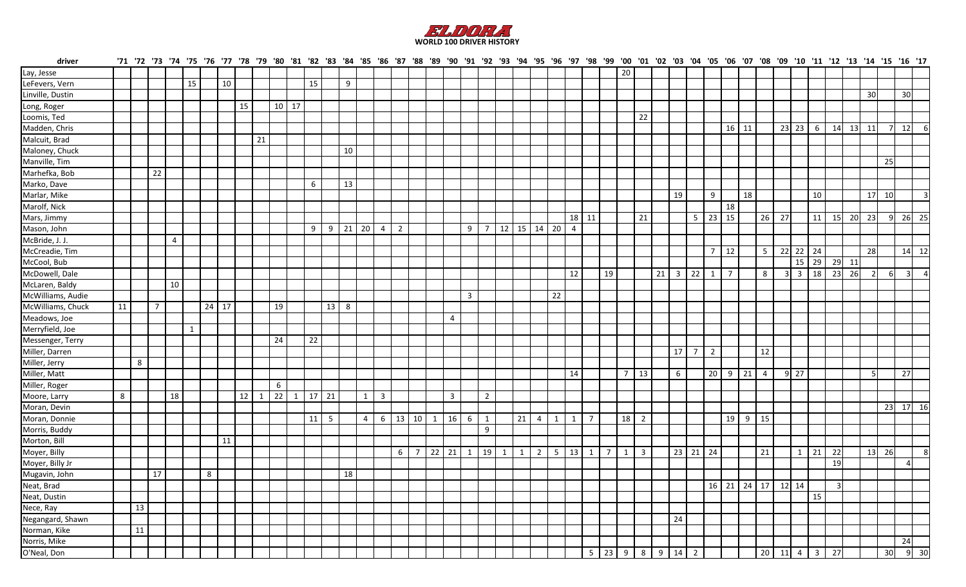

| driver            |    |    |                 |    |              |         |    |    |    |              |    |    |      |    |                   |                         |                            |   |    |                |                         |                |                              |             |                |    |                |                |                |                |                |                          |        |                      |                   |                |                |                |         |                                    |    |                |              |                 |     |                 |                |
|-------------------|----|----|-----------------|----|--------------|---------|----|----|----|--------------|----|----|------|----|-------------------|-------------------------|----------------------------|---|----|----------------|-------------------------|----------------|------------------------------|-------------|----------------|----|----------------|----------------|----------------|----------------|----------------|--------------------------|--------|----------------------|-------------------|----------------|----------------|----------------|---------|------------------------------------|----|----------------|--------------|-----------------|-----|-----------------|----------------|
| Lay, Jesse        |    |    |                 |    |              |         |    |    |    |              |    |    |      |    |                   |                         |                            |   |    |                |                         |                |                              |             |                |    |                |                |                | 20             |                |                          |        |                      |                   |                |                |                |         |                                    |    |                |              |                 |     |                 |                |
| LeFevers, Vern    |    |    |                 |    | 15           |         | 10 |    |    |              |    | 15 |      | 9  |                   |                         |                            |   |    |                |                         |                |                              |             |                |    |                |                |                |                |                |                          |        |                      |                   |                |                |                |         |                                    |    |                |              |                 |     |                 |                |
| Linville, Dustin  |    |    |                 |    |              |         |    |    |    |              |    |    |      |    |                   |                         |                            |   |    |                |                         |                |                              |             |                |    |                |                |                |                |                |                          |        |                      |                   |                |                |                |         |                                    |    |                |              | 30 <sup>l</sup> |     | 30              |                |
| Long, Roger       |    |    |                 |    |              |         |    | 15 |    | $10 \mid 17$ |    |    |      |    |                   |                         |                            |   |    |                |                         |                |                              |             |                |    |                |                |                |                |                |                          |        |                      |                   |                |                |                |         |                                    |    |                |              |                 |     |                 |                |
| Loomis, Ted       |    |    |                 |    |              |         |    |    |    |              |    |    |      |    |                   |                         |                            |   |    |                |                         |                |                              |             |                |    |                |                |                |                | 22             |                          |        |                      |                   |                |                |                |         |                                    |    |                |              |                 |     |                 |                |
| Madden, Chris     |    |    |                 |    |              |         |    |    |    |              |    |    |      |    |                   |                         |                            |   |    |                |                         |                |                              |             |                |    |                |                |                |                |                |                          |        |                      |                   | $16$   11      |                |                |         | $23 \mid 23 \mid 6$                |    |                | $14 \mid 13$ | 11              | 71  | 12              |                |
| Malcuit, Brad     |    |    |                 |    |              |         |    |    | 21 |              |    |    |      |    |                   |                         |                            |   |    |                |                         |                |                              |             |                |    |                |                |                |                |                |                          |        |                      |                   |                |                |                |         |                                    |    |                |              |                 |     |                 |                |
| Maloney, Chuck    |    |    |                 |    |              |         |    |    |    |              |    |    |      | 10 |                   |                         |                            |   |    |                |                         |                |                              |             |                |    |                |                |                |                |                |                          |        |                      |                   |                |                |                |         |                                    |    |                |              |                 |     |                 |                |
| Manville, Tim     |    |    |                 |    |              |         |    |    |    |              |    |    |      |    |                   |                         |                            |   |    |                |                         |                |                              |             |                |    |                |                |                |                |                |                          |        |                      |                   |                |                |                |         |                                    |    |                |              |                 | 25  |                 |                |
| Marhefka, Bob     |    |    | $\overline{22}$ |    |              |         |    |    |    |              |    |    |      |    |                   |                         |                            |   |    |                |                         |                |                              |             |                |    |                |                |                |                |                |                          |        |                      |                   |                |                |                |         |                                    |    |                |              |                 |     |                 |                |
| Marko, Dave       |    |    |                 |    |              |         |    |    |    |              |    | 6  |      | 13 |                   |                         |                            |   |    |                |                         |                |                              |             |                |    |                |                |                |                |                |                          |        |                      |                   |                |                |                |         |                                    |    |                |              |                 |     |                 |                |
| Marlar, Mike      |    |    |                 |    |              |         |    |    |    |              |    |    |      |    |                   |                         |                            |   |    |                |                         |                |                              |             |                |    |                |                |                |                |                |                          | 19     |                      | 9                 |                | 18             |                |         |                                    | 10 |                |              | 17              | 10  |                 |                |
| Marolf, Nick      |    |    |                 |    |              |         |    |    |    |              |    |    |      |    |                   |                         |                            |   |    |                |                         |                |                              |             |                |    |                |                |                |                |                |                          |        |                      |                   | 18             |                |                |         |                                    |    |                |              |                 |     |                 |                |
| Mars, Jimmy       |    |    |                 |    |              |         |    |    |    |              |    |    |      |    |                   |                         |                            |   |    |                |                         |                |                              |             |                |    | 18 11          |                |                |                | 21             |                          |        | 5 <sub>1</sub>       | 23                | 15             |                | 26 27          |         |                                    | 11 |                | $15$ 20      | 23              | -91 | 26 25           |                |
| Mason, John       |    |    |                 |    |              |         |    |    |    |              |    | 9  | 9    |    | $21 \mid 20 \mid$ | $4 \mid$                | $\overline{2}$             |   |    |                | 9 <sup>1</sup>          | $\overline{7}$ | $12 \mid 15 \mid 14 \mid 20$ |             |                |    | $\overline{4}$ |                |                |                |                |                          |        |                      |                   |                |                |                |         |                                    |    |                |              |                 |     |                 |                |
| McBride, J. J.    |    |    |                 | 4  |              |         |    |    |    |              |    |    |      |    |                   |                         |                            |   |    |                |                         |                |                              |             |                |    |                |                |                |                |                |                          |        |                      |                   |                |                |                |         |                                    |    |                |              |                 |     |                 |                |
| McCreadie, Tim    |    |    |                 |    |              |         |    |    |    |              |    |    |      |    |                   |                         |                            |   |    |                |                         |                |                              |             |                |    |                |                |                |                |                |                          |        |                      | 7 <sup>1</sup>    | 12             |                |                |         | $5$ 22 22 24                       |    |                |              | 28              |     | 14 12           |                |
| McCool, Bub       |    |    |                 |    |              |         |    |    |    |              |    |    |      |    |                   |                         |                            |   |    |                |                         |                |                              |             |                |    |                |                |                |                |                |                          |        |                      |                   |                |                |                |         | 15 29                              |    |                | $29$ 11      |                 |     |                 |                |
| McDowell, Dale    |    |    |                 |    |              |         |    |    |    |              |    |    |      |    |                   |                         |                            |   |    |                |                         |                |                              |             |                |    | 12             |                | 19             |                |                | $21 \mid 3 \mid 22 \mid$ |        |                      | 1                 | $\overline{7}$ |                | 8 <sup>1</sup> |         | $3 \overline{\smash{\big)}\ 3}$ 18 |    |                | $23 \mid 26$ | -2 I            | -61 | $\vert$ 3       | $\overline{4}$ |
| McLaren, Baldy    |    |    |                 | 10 |              |         |    |    |    |              |    |    |      |    |                   |                         |                            |   |    |                |                         |                |                              |             |                |    |                |                |                |                |                |                          |        |                      |                   |                |                |                |         |                                    |    |                |              |                 |     |                 |                |
| McWilliams, Audie |    |    |                 |    |              |         |    |    |    |              |    |    |      |    |                   |                         |                            |   |    |                | $\overline{\mathbf{3}}$ |                |                              |             |                | 22 |                |                |                |                |                |                          |        |                      |                   |                |                |                |         |                                    |    |                |              |                 |     |                 |                |
| McWilliams, Chuck | 11 |    | $\overline{7}$  |    |              | $24$ 17 |    |    |    | 19           |    |    | 13 8 |    |                   |                         |                            |   |    |                |                         |                |                              |             |                |    |                |                |                |                |                |                          |        |                      |                   |                |                |                |         |                                    |    |                |              |                 |     |                 |                |
| Meadows, Joe      |    |    |                 |    |              |         |    |    |    |              |    |    |      |    |                   |                         |                            |   |    | $\overline{4}$ |                         |                |                              |             |                |    |                |                |                |                |                |                          |        |                      |                   |                |                |                |         |                                    |    |                |              |                 |     |                 |                |
| Merryfield, Joe   |    |    |                 |    | $\mathbf{1}$ |         |    |    |    |              |    |    |      |    |                   |                         |                            |   |    |                |                         |                |                              |             |                |    |                |                |                |                |                |                          |        |                      |                   |                |                |                |         |                                    |    |                |              |                 |     |                 |                |
| Messenger, Terry  |    |    |                 |    |              |         |    |    |    | 24           |    | 22 |      |    |                   |                         |                            |   |    |                |                         |                |                              |             |                |    |                |                |                |                |                |                          |        |                      |                   |                |                |                |         |                                    |    |                |              |                 |     |                 |                |
| Miller, Darren    |    |    |                 |    |              |         |    |    |    |              |    |    |      |    |                   |                         |                            |   |    |                |                         |                |                              |             |                |    |                |                |                |                |                |                          | $17$ 7 |                      | $\overline{2}$    |                |                | 12             |         |                                    |    |                |              |                 |     |                 |                |
| Miller, Jerry     |    | 8  |                 |    |              |         |    |    |    |              |    |    |      |    |                   |                         |                            |   |    |                |                         |                |                              |             |                |    |                |                |                |                |                |                          |        |                      |                   |                |                |                |         |                                    |    |                |              |                 |     |                 |                |
| Miller, Matt      |    |    |                 |    |              |         |    |    |    |              |    |    |      |    |                   |                         |                            |   |    |                |                         |                |                              |             |                |    | 14             |                |                | $\overline{7}$ | 13             |                          | 6      |                      | 20                |                | $9 \mid 21$    | $\overline{4}$ |         | $9 \overline{\smash{\big)}\ 27}$   |    |                |              |                 |     | 27              |                |
| Miller, Roger     |    |    |                 |    |              |         |    |    |    | 6            |    |    |      |    |                   |                         |                            |   |    |                |                         |                |                              |             |                |    |                |                |                |                |                |                          |        |                      |                   |                |                |                |         |                                    |    |                |              |                 |     |                 |                |
| Moore, Larry      | 8  |    |                 | 18 |              |         |    | 12 | 1  | 22           | -1 | 17 | 21   |    | 1                 | $\overline{\mathbf{3}}$ |                            |   |    | $\overline{3}$ |                         | $\overline{2}$ |                              |             |                |    |                |                |                |                |                |                          |        |                      |                   |                |                |                |         |                                    |    |                |              |                 |     |                 |                |
| Moran, Devin      |    |    |                 |    |              |         |    |    |    |              |    |    |      |    |                   |                         |                            |   |    |                |                         |                |                              |             |                |    |                |                |                |                |                |                          |        |                      |                   |                |                |                |         |                                    |    |                |              |                 | 23  | 17 <sup>1</sup> | 16             |
| Moran, Donnie     |    |    |                 |    |              |         |    |    |    |              |    | 11 | 5    |    | $\overline{4}$    |                         | $6 \mid 13 \mid 10 \mid 1$ |   |    | 16             | 6 <sup>1</sup>          | $\mathbf{1}$   |                              | $21 \mid 4$ |                | 1  | $\mathbf{1}$   | $\overline{7}$ |                | 18             | $\overline{2}$ |                          |        |                      |                   | 19             | 9 <sup>1</sup> | 15             |         |                                    |    |                |              |                 |     |                 |                |
| Morris, Buddy     |    |    |                 |    |              |         |    |    |    |              |    |    |      |    |                   |                         |                            |   |    |                |                         | 9              |                              |             |                |    |                |                |                |                |                |                          |        |                      |                   |                |                |                |         |                                    |    |                |              |                 |     |                 |                |
| Morton, Bill      |    |    |                 |    |              |         | 11 |    |    |              |    |    |      |    |                   |                         |                            |   |    |                |                         |                |                              |             |                |    |                |                |                |                |                |                          |        |                      |                   |                |                |                |         |                                    |    |                |              |                 |     |                 |                |
| Moyer, Billy      |    |    |                 |    |              |         |    |    |    |              |    |    |      |    |                   |                         | 6 <sup>1</sup>             | 7 | 22 | 21             | 1                       | 19             | 1                            | $1 \mid$    | $\overline{2}$ | 5  | $\vert$ 13     | 1              | $\overline{7}$ | 1              | $\overline{3}$ |                          |        | $23 \mid 21 \mid 24$ |                   |                |                | 21             |         | 1                                  | 21 | 22             |              | 13              | 26  |                 | 8              |
| Moyer, Billy Jr   |    |    |                 |    |              |         |    |    |    |              |    |    |      |    |                   |                         |                            |   |    |                |                         |                |                              |             |                |    |                |                |                |                |                |                          |        |                      |                   |                |                |                |         |                                    |    | 19             |              |                 |     | $\Lambda$       |                |
| Mugavin, John     |    |    | 17              |    |              | 8       |    |    |    |              |    |    |      | 18 |                   |                         |                            |   |    |                |                         |                |                              |             |                |    |                |                |                |                |                |                          |        |                      |                   |                |                |                |         |                                    |    |                |              |                 |     |                 |                |
| Neat, Brad        |    |    |                 |    |              |         |    |    |    |              |    |    |      |    |                   |                         |                            |   |    |                |                         |                |                              |             |                |    |                |                |                |                |                |                          |        |                      | 16 21 24 17 12 14 |                |                |                |         |                                    |    | $\overline{3}$ |              |                 |     |                 |                |
| Neat, Dustin      |    |    |                 |    |              |         |    |    |    |              |    |    |      |    |                   |                         |                            |   |    |                |                         |                |                              |             |                |    |                |                |                |                |                |                          |        |                      |                   |                |                |                |         |                                    | 15 |                |              |                 |     |                 |                |
| Nece, Ray         |    | 13 |                 |    |              |         |    |    |    |              |    |    |      |    |                   |                         |                            |   |    |                |                         |                |                              |             |                |    |                |                |                |                |                |                          |        |                      |                   |                |                |                |         |                                    |    |                |              |                 |     |                 |                |
| Negangard, Shawn  |    |    |                 |    |              |         |    |    |    |              |    |    |      |    |                   |                         |                            |   |    |                |                         |                |                              |             |                |    |                |                |                |                |                |                          | 24     |                      |                   |                |                |                |         |                                    |    |                |              |                 |     |                 |                |
| Norman, Kike      |    | 11 |                 |    |              |         |    |    |    |              |    |    |      |    |                   |                         |                            |   |    |                |                         |                |                              |             |                |    |                |                |                |                |                |                          |        |                      |                   |                |                |                |         |                                    |    |                |              |                 |     |                 |                |
| Norris, Mike      |    |    |                 |    |              |         |    |    |    |              |    |    |      |    |                   |                         |                            |   |    |                |                         |                |                              |             |                |    |                |                |                |                |                |                          |        |                      |                   |                |                |                |         |                                    |    |                |              |                 |     | 24              |                |
| O'Neal, Don       |    |    |                 |    |              |         |    |    |    |              |    |    |      |    |                   |                         |                            |   |    |                |                         |                |                              |             |                |    |                |                | $5 \mid 23$    | 9              | $8 \mid 9$     |                          | 14 2   |                      |                   |                |                |                | $20$ 11 | $4 \mid 3$                         |    | 27             |              |                 | 30  | 9 30            |                |
|                   |    |    |                 |    |              |         |    |    |    |              |    |    |      |    |                   |                         |                            |   |    |                |                         |                |                              |             |                |    |                |                |                |                |                |                          |        |                      |                   |                |                |                |         |                                    |    |                |              |                 |     |                 |                |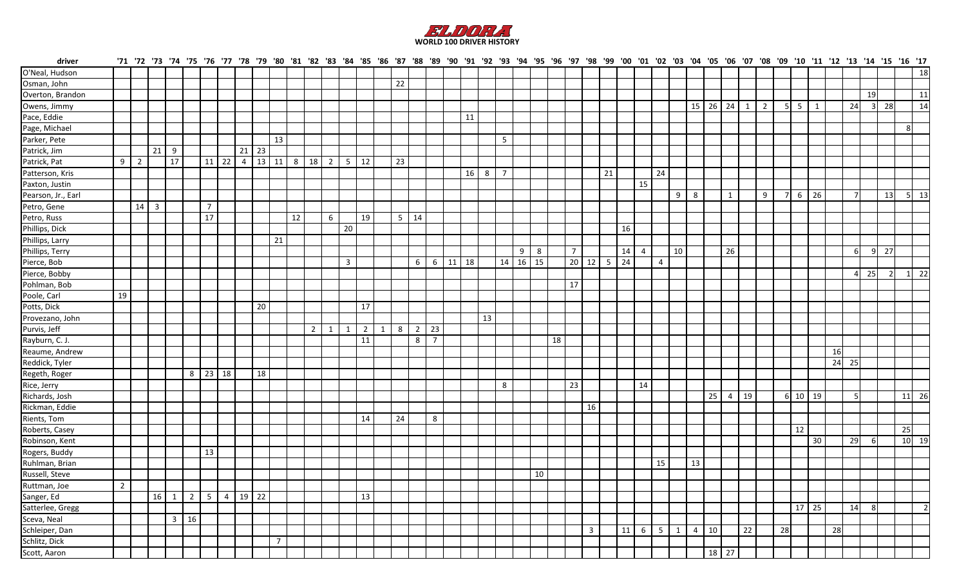

| driver             |                |                |             |              |                |                |                |         |              |                          |    |                |                |                         |                |              |                |                |      |    |    |    |                      |            |    |    |                |                |             |    |                |                |    |                |                           |    |    |                |                |                   |    |         |          |                         |                |              |                |
|--------------------|----------------|----------------|-------------|--------------|----------------|----------------|----------------|---------|--------------|--------------------------|----|----------------|----------------|-------------------------|----------------|--------------|----------------|----------------|------|----|----|----|----------------------|------------|----|----|----------------|----------------|-------------|----|----------------|----------------|----|----------------|---------------------------|----|----|----------------|----------------|-------------------|----|---------|----------|-------------------------|----------------|--------------|----------------|
| O'Neal, Hudson     |                |                |             |              |                |                |                |         |              |                          |    |                |                |                         |                |              |                |                |      |    |    |    |                      |            |    |    |                |                |             |    |                |                |    |                |                           |    |    |                |                |                   |    |         |          |                         |                |              | 18             |
| Osman, John        |                |                |             |              |                |                |                |         |              |                          |    |                |                |                         |                |              | 22             |                |      |    |    |    |                      |            |    |    |                |                |             |    |                |                |    |                |                           |    |    |                |                |                   |    |         |          |                         |                |              |                |
| Overton, Brandon   |                |                |             |              |                |                |                |         |              |                          |    |                |                |                         |                |              |                |                |      |    |    |    |                      |            |    |    |                |                |             |    |                |                |    |                |                           |    |    |                |                |                   |    |         |          | <b>19</b>               |                |              | 11             |
| Owens, Jimmy       |                |                |             |              |                |                |                |         |              |                          |    |                |                |                         |                |              |                |                |      |    |    |    |                      |            |    |    |                |                |             |    |                |                |    |                | $15 \mid 26 \mid 24 \mid$ |    | 1  | 2 <sup>1</sup> |                | $5 \mid 5 \mid 1$ |    |         | 24       | $\overline{\mathbf{3}}$ | 28             |              | 14             |
| Pace, Eddie        |                |                |             |              |                |                |                |         |              |                          |    |                |                |                         |                |              |                |                |      |    | 11 |    |                      |            |    |    |                |                |             |    |                |                |    |                |                           |    |    |                |                |                   |    |         |          |                         |                |              |                |
| Page, Michael      |                |                |             |              |                |                |                |         |              |                          |    |                |                |                         |                |              |                |                |      |    |    |    |                      |            |    |    |                |                |             |    |                |                |    |                |                           |    |    |                |                |                   |    |         |          |                         |                | 8            |                |
| Parker, Pete       |                |                |             |              |                |                |                |         |              | 13                       |    |                |                |                         |                |              |                |                |      |    |    |    | $5\overline{)}$      |            |    |    |                |                |             |    |                |                |    |                |                           |    |    |                |                |                   |    |         |          |                         |                |              |                |
| Patrick, Jim       |                |                | $21 \mid 9$ |              |                |                |                |         | $21 \mid 23$ |                          |    |                |                |                         |                |              |                |                |      |    |    |    |                      |            |    |    |                |                |             |    |                |                |    |                |                           |    |    |                |                |                   |    |         |          |                         |                |              |                |
| Patrick, Pat       | 9 <sup>1</sup> | $\overline{2}$ |             | 17           |                | 11             | 22             |         |              | $4 \mid 13 \mid 11 \mid$ | 8  | 18             | $\overline{2}$ | $5 \mid 12$             |                |              | 23             |                |      |    |    |    |                      |            |    |    |                |                |             |    |                |                |    |                |                           |    |    |                |                |                   |    |         |          |                         |                |              |                |
| Patterson, Kris    |                |                |             |              |                |                |                |         |              |                          |    |                |                |                         |                |              |                |                |      |    | 16 | 8  | $\overline{7}$       |            |    |    |                |                | 21          |    |                | 24             |    |                |                           |    |    |                |                |                   |    |         |          |                         |                |              |                |
| Paxton, Justin     |                |                |             |              |                |                |                |         |              |                          |    |                |                |                         |                |              |                |                |      |    |    |    |                      |            |    |    |                |                |             |    | 15             |                |    |                |                           |    |    |                |                |                   |    |         |          |                         |                |              |                |
| Pearson, Jr., Earl |                |                |             |              |                |                |                |         |              |                          |    |                |                |                         |                |              |                |                |      |    |    |    |                      |            |    |    |                |                |             |    |                |                | 9  | $\sqrt{8}$     |                           | 1  |    | 9              | $\overline{7}$ | 6                 | 26 |         |          |                         | 13             | $5 \quad 13$ |                |
| Petro, Gene        |                | $14 \mid 3$    |             |              |                | $\overline{7}$ |                |         |              |                          |    |                |                |                         |                |              |                |                |      |    |    |    |                      |            |    |    |                |                |             |    |                |                |    |                |                           |    |    |                |                |                   |    |         |          |                         |                |              |                |
| Petro, Russ        |                |                |             |              |                | 17             |                |         |              |                          | 12 |                | 6              |                         | 19             |              | $5 \mid 14$    |                |      |    |    |    |                      |            |    |    |                |                |             |    |                |                |    |                |                           |    |    |                |                |                   |    |         |          |                         |                |              |                |
| Phillips, Dick     |                |                |             |              |                |                |                |         |              |                          |    |                |                | 20                      |                |              |                |                |      |    |    |    |                      |            |    |    |                |                |             | 16 |                |                |    |                |                           |    |    |                |                |                   |    |         |          |                         |                |              |                |
| Phillips, Larry    |                |                |             |              |                |                |                |         |              | 21                       |    |                |                |                         |                |              |                |                |      |    |    |    |                      |            |    |    |                |                |             |    |                |                |    |                |                           |    |    |                |                |                   |    |         |          |                         |                |              |                |
| Phillips, Terry    |                |                |             |              |                |                |                |         |              |                          |    |                |                |                         |                |              |                |                |      |    |    |    |                      | $9 \mid 8$ |    |    | $\overline{7}$ |                |             | 14 | $\overline{4}$ |                | 10 |                |                           | 26 |    |                |                |                   |    |         | 6        | 9                       | 27             |              |                |
| Pierce, Bob        |                |                |             |              |                |                |                |         |              |                          |    |                |                | $\overline{\mathbf{3}}$ |                |              |                | 6              | 6    | 11 | 18 |    | $14 \mid 16 \mid 15$ |            |    |    | 20             | 12             | $5 \mid 24$ |    |                | $\overline{4}$ |    |                |                           |    |    |                |                |                   |    |         |          |                         |                |              |                |
| Pierce, Bobby      |                |                |             |              |                |                |                |         |              |                          |    |                |                |                         |                |              |                |                |      |    |    |    |                      |            |    |    |                |                |             |    |                |                |    |                |                           |    |    |                |                |                   |    |         | $\Delta$ | 25                      | $\overline{2}$ | 1 22         |                |
| Pohlman, Bob       |                |                |             |              |                |                |                |         |              |                          |    |                |                |                         |                |              |                |                |      |    |    |    |                      |            |    |    | 17             |                |             |    |                |                |    |                |                           |    |    |                |                |                   |    |         |          |                         |                |              |                |
| Poole, Carl        | 19             |                |             |              |                |                |                |         |              |                          |    |                |                |                         |                |              |                |                |      |    |    |    |                      |            |    |    |                |                |             |    |                |                |    |                |                           |    |    |                |                |                   |    |         |          |                         |                |              |                |
| Potts, Dick        |                |                |             |              |                |                |                |         | 20           |                          |    |                |                |                         | 17             |              |                |                |      |    |    |    |                      |            |    |    |                |                |             |    |                |                |    |                |                           |    |    |                |                |                   |    |         |          |                         |                |              |                |
| Provezano, John    |                |                |             |              |                |                |                |         |              |                          |    |                |                |                         |                |              |                |                |      |    |    | 13 |                      |            |    |    |                |                |             |    |                |                |    |                |                           |    |    |                |                |                   |    |         |          |                         |                |              |                |
| Purvis, Jeff       |                |                |             |              |                |                |                |         |              |                          |    | $\overline{2}$ | 1              | 1                       | $\overline{2}$ | $\mathbf{1}$ | 8 <sup>1</sup> | $\overline{2}$ | 23   |    |    |    |                      |            |    |    |                |                |             |    |                |                |    |                |                           |    |    |                |                |                   |    |         |          |                         |                |              |                |
| Rayburn, C. J.     |                |                |             |              |                |                |                |         |              |                          |    |                |                |                         | 11             |              |                | 8              | $-7$ |    |    |    |                      |            |    | 18 |                |                |             |    |                |                |    |                |                           |    |    |                |                |                   |    |         |          |                         |                |              |                |
| Reaume, Andrew     |                |                |             |              |                |                |                |         |              |                          |    |                |                |                         |                |              |                |                |      |    |    |    |                      |            |    |    |                |                |             |    |                |                |    |                |                           |    |    |                |                |                   |    | 16      |          |                         |                |              |                |
| Reddick, Tyler     |                |                |             |              |                |                |                |         |              |                          |    |                |                |                         |                |              |                |                |      |    |    |    |                      |            |    |    |                |                |             |    |                |                |    |                |                           |    |    |                |                |                   |    | $24$ 25 |          |                         |                |              |                |
| Regeth, Roger      |                |                |             |              | 8              | 23 18          |                |         | 18           |                          |    |                |                |                         |                |              |                |                |      |    |    |    |                      |            |    |    |                |                |             |    |                |                |    |                |                           |    |    |                |                |                   |    |         |          |                         |                |              |                |
| Rice, Jerry        |                |                |             |              |                |                |                |         |              |                          |    |                |                |                         |                |              |                |                |      |    |    |    | 8                    |            |    |    | 23             |                |             |    | 14             |                |    |                |                           |    |    |                |                |                   |    |         |          |                         |                |              |                |
| Richards, Josh     |                |                |             |              |                |                |                |         |              |                          |    |                |                |                         |                |              |                |                |      |    |    |    |                      |            |    |    |                |                |             |    |                |                |    |                | 25                        | 4  | 19 |                |                | 6 10 19           |    |         |          |                         |                | 11 26        |                |
| Rickman, Eddie     |                |                |             |              |                |                |                |         |              |                          |    |                |                |                         |                |              |                |                |      |    |    |    |                      |            |    |    |                | 16             |             |    |                |                |    |                |                           |    |    |                |                |                   |    |         |          |                         |                |              |                |
| Rients, Tom        |                |                |             |              |                |                |                |         |              |                          |    |                |                |                         | 14             |              | 24             |                | 8    |    |    |    |                      |            |    |    |                |                |             |    |                |                |    |                |                           |    |    |                |                |                   |    |         |          |                         |                |              |                |
| Roberts, Casey     |                |                |             |              |                |                |                |         |              |                          |    |                |                |                         |                |              |                |                |      |    |    |    |                      |            |    |    |                |                |             |    |                |                |    |                |                           |    |    |                |                | 12                |    |         |          |                         |                | 25           |                |
| Robinson, Kent     |                |                |             |              |                |                |                |         |              |                          |    |                |                |                         |                |              |                |                |      |    |    |    |                      |            |    |    |                |                |             |    |                |                |    |                |                           |    |    |                |                |                   | 30 |         | 29       | 6                       |                | 10 19        |                |
| Rogers, Buddy      |                |                |             |              |                | 13             |                |         |              |                          |    |                |                |                         |                |              |                |                |      |    |    |    |                      |            |    |    |                |                |             |    |                |                |    |                |                           |    |    |                |                |                   |    |         |          |                         |                |              |                |
| Ruhlman, Brian     |                |                |             |              |                |                |                |         |              |                          |    |                |                |                         |                |              |                |                |      |    |    |    |                      |            |    |    |                |                |             |    |                | 15             |    | 13             |                           |    |    |                |                |                   |    |         |          |                         |                |              |                |
| Russell, Steve     |                |                |             |              |                |                |                |         |              |                          |    |                |                |                         |                |              |                |                |      |    |    |    |                      |            | 10 |    |                |                |             |    |                |                |    |                |                           |    |    |                |                |                   |    |         |          |                         |                |              |                |
| Ruttman, Joe       | $\overline{2}$ |                |             |              |                |                |                |         |              |                          |    |                |                |                         |                |              |                |                |      |    |    |    |                      |            |    |    |                |                |             |    |                |                |    |                |                           |    |    |                |                |                   |    |         |          |                         |                |              |                |
| Sanger, Ed         |                |                | 16          | 1            | $\overline{2}$ | 5 <sup>5</sup> | $\overline{4}$ | $19$ 22 |              |                          |    |                |                |                         | 13             |              |                |                |      |    |    |    |                      |            |    |    |                |                |             |    |                |                |    |                |                           |    |    |                |                |                   |    |         |          |                         |                |              |                |
| Satterlee, Gregg   |                |                |             |              |                |                |                |         |              |                          |    |                |                |                         |                |              |                |                |      |    |    |    |                      |            |    |    |                |                |             |    |                |                |    |                |                           |    |    |                |                | $17$ 25           |    |         | 14       | 8                       |                |              | $\overline{2}$ |
| Sceva, Neal        |                |                |             | $\mathbf{3}$ | 16             |                |                |         |              |                          |    |                |                |                         |                |              |                |                |      |    |    |    |                      |            |    |    |                |                |             |    |                |                |    |                |                           |    |    |                |                |                   |    |         |          |                         |                |              |                |
| Schleiper, Dan     |                |                |             |              |                |                |                |         |              |                          |    |                |                |                         |                |              |                |                |      |    |    |    |                      |            |    |    |                | $\overline{3}$ |             | 11 | $6 \mid$       | 5              | 1  | $\overline{4}$ | 10                        |    | 22 |                | 28             |                   |    | 28      |          |                         |                |              |                |
| Schlitz, Dick      |                |                |             |              |                |                |                |         |              | $\overline{7}$           |    |                |                |                         |                |              |                |                |      |    |    |    |                      |            |    |    |                |                |             |    |                |                |    |                |                           |    |    |                |                |                   |    |         |          |                         |                |              |                |
| Scott, Aaron       |                |                |             |              |                |                |                |         |              |                          |    |                |                |                         |                |              |                |                |      |    |    |    |                      |            |    |    |                |                |             |    |                |                |    |                | 18 27                     |    |    |                |                |                   |    |         |          |                         |                |              |                |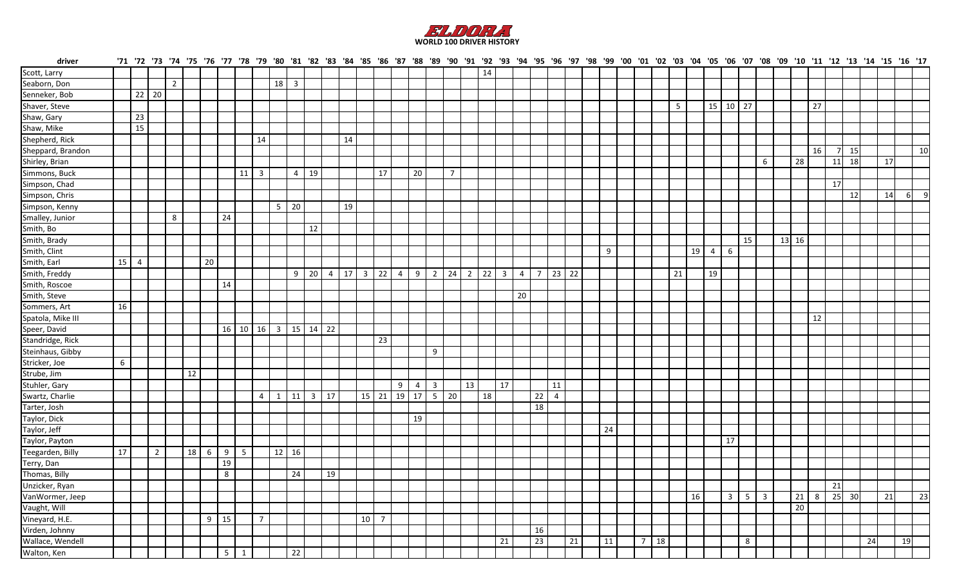

| 14<br>Seaborn, Don<br>$\overline{2}$<br>18 3<br>Senneker, Bob<br>$22 \mid 20$<br>Shaver, Steve<br>$15 \mid 10 \mid 27$<br>$\overline{27}$<br>5 <sup>5</sup><br>Shaw, Gary<br>23<br>Shaw, Mike<br>15<br>Shepherd, Rick<br>14<br>14<br>Sheppard, Brandon<br>10<br>16<br>$\overline{7}$<br>15<br>28<br>$11$ 18<br>17<br>6<br>20<br>$11 \mid 3$<br>$\overline{4}$<br>19<br>17<br>$\overline{7}$<br>17<br>14<br>12<br>-61<br>Simpson, Kenny<br>$5 \quad 20$<br>19<br>Smalley, Junior<br>Smith, Bo<br>24<br>8<br>12<br>Smith, Brady<br>$13 \mid 16$<br>15<br>Smith, Clint<br>19<br>$\overline{4}$<br>9<br>6<br>15<br>20<br>$\overline{4}$<br>Smith, Freddy<br>$9$ 20 4 17 3 22<br>$4$ 7 23 22<br>19<br>$4 \mid 9 \mid 2 \mid 24 \mid 2 \mid 22 \mid$<br>21<br>3 <sup>1</sup><br>14<br>20 <sup>°</sup><br>16<br>Spatola, Mike III<br>12<br>16<br>$3 \mid 15$<br>$10 \mid 16 \mid$<br>$14 \mid 22$<br>23<br>9<br>6<br>12<br>13<br>9<br>$\overline{\mathbf{3}}$<br>17<br>11<br>$\overline{4}$<br>19 17<br>$5 \mid 20$<br>22<br>$\sqrt{11}$<br>17<br>$15 \mid 21$<br>18<br>$\overline{\mathbf{3}}$<br>$\overline{4}$<br>1<br>$\overline{4}$<br>Tarter, Josh<br>18<br>Taylor, Dick<br>19<br>Taylor, Jeff<br>24<br>Taylor, Payton<br>17<br>Teegarden, Billy<br>$12 \mid 16$<br>$2^{\circ}$<br>$18 \mid 6$<br>9<br>17<br>$5\overline{)}$<br>19<br>24<br>8<br>19<br>Unzicker, Ryan<br>VanWormer, Jeep<br> 21 <br>25<br>16<br>$\overline{\mathbf{3}}$<br>$21 \mid 8$<br>30<br>21<br>23<br>$3 \mid$<br>$5\overline{)}$<br>Vaught, Will<br>20<br>Vineyard, H.E.<br>9<br>15<br>$\overline{7}$<br>10 <sup>1</sup><br>$\overline{7}$ | driver           |  |  |  |  |  |  |  |  |  |  |  |  |    |  |  |  |  |  |  |  |  |  |  |  |
|------------------------------------------------------------------------------------------------------------------------------------------------------------------------------------------------------------------------------------------------------------------------------------------------------------------------------------------------------------------------------------------------------------------------------------------------------------------------------------------------------------------------------------------------------------------------------------------------------------------------------------------------------------------------------------------------------------------------------------------------------------------------------------------------------------------------------------------------------------------------------------------------------------------------------------------------------------------------------------------------------------------------------------------------------------------------------------------------------------------------------------------------------------------------------------------------------------------------------------------------------------------------------------------------------------------------------------------------------------------------------------------------------------------------------------------------------------------------------------------------------------------------------------------------------------------------------------------------------------------|------------------|--|--|--|--|--|--|--|--|--|--|--|--|----|--|--|--|--|--|--|--|--|--|--|--|
|                                                                                                                                                                                                                                                                                                                                                                                                                                                                                                                                                                                                                                                                                                                                                                                                                                                                                                                                                                                                                                                                                                                                                                                                                                                                                                                                                                                                                                                                                                                                                                                                                  | Scott, Larry     |  |  |  |  |  |  |  |  |  |  |  |  |    |  |  |  |  |  |  |  |  |  |  |  |
|                                                                                                                                                                                                                                                                                                                                                                                                                                                                                                                                                                                                                                                                                                                                                                                                                                                                                                                                                                                                                                                                                                                                                                                                                                                                                                                                                                                                                                                                                                                                                                                                                  |                  |  |  |  |  |  |  |  |  |  |  |  |  |    |  |  |  |  |  |  |  |  |  |  |  |
|                                                                                                                                                                                                                                                                                                                                                                                                                                                                                                                                                                                                                                                                                                                                                                                                                                                                                                                                                                                                                                                                                                                                                                                                                                                                                                                                                                                                                                                                                                                                                                                                                  |                  |  |  |  |  |  |  |  |  |  |  |  |  |    |  |  |  |  |  |  |  |  |  |  |  |
|                                                                                                                                                                                                                                                                                                                                                                                                                                                                                                                                                                                                                                                                                                                                                                                                                                                                                                                                                                                                                                                                                                                                                                                                                                                                                                                                                                                                                                                                                                                                                                                                                  |                  |  |  |  |  |  |  |  |  |  |  |  |  |    |  |  |  |  |  |  |  |  |  |  |  |
|                                                                                                                                                                                                                                                                                                                                                                                                                                                                                                                                                                                                                                                                                                                                                                                                                                                                                                                                                                                                                                                                                                                                                                                                                                                                                                                                                                                                                                                                                                                                                                                                                  |                  |  |  |  |  |  |  |  |  |  |  |  |  |    |  |  |  |  |  |  |  |  |  |  |  |
|                                                                                                                                                                                                                                                                                                                                                                                                                                                                                                                                                                                                                                                                                                                                                                                                                                                                                                                                                                                                                                                                                                                                                                                                                                                                                                                                                                                                                                                                                                                                                                                                                  |                  |  |  |  |  |  |  |  |  |  |  |  |  |    |  |  |  |  |  |  |  |  |  |  |  |
|                                                                                                                                                                                                                                                                                                                                                                                                                                                                                                                                                                                                                                                                                                                                                                                                                                                                                                                                                                                                                                                                                                                                                                                                                                                                                                                                                                                                                                                                                                                                                                                                                  |                  |  |  |  |  |  |  |  |  |  |  |  |  |    |  |  |  |  |  |  |  |  |  |  |  |
|                                                                                                                                                                                                                                                                                                                                                                                                                                                                                                                                                                                                                                                                                                                                                                                                                                                                                                                                                                                                                                                                                                                                                                                                                                                                                                                                                                                                                                                                                                                                                                                                                  |                  |  |  |  |  |  |  |  |  |  |  |  |  |    |  |  |  |  |  |  |  |  |  |  |  |
|                                                                                                                                                                                                                                                                                                                                                                                                                                                                                                                                                                                                                                                                                                                                                                                                                                                                                                                                                                                                                                                                                                                                                                                                                                                                                                                                                                                                                                                                                                                                                                                                                  | Shirley, Brian   |  |  |  |  |  |  |  |  |  |  |  |  |    |  |  |  |  |  |  |  |  |  |  |  |
|                                                                                                                                                                                                                                                                                                                                                                                                                                                                                                                                                                                                                                                                                                                                                                                                                                                                                                                                                                                                                                                                                                                                                                                                                                                                                                                                                                                                                                                                                                                                                                                                                  | Simmons, Buck    |  |  |  |  |  |  |  |  |  |  |  |  |    |  |  |  |  |  |  |  |  |  |  |  |
|                                                                                                                                                                                                                                                                                                                                                                                                                                                                                                                                                                                                                                                                                                                                                                                                                                                                                                                                                                                                                                                                                                                                                                                                                                                                                                                                                                                                                                                                                                                                                                                                                  | Simpson, Chad    |  |  |  |  |  |  |  |  |  |  |  |  |    |  |  |  |  |  |  |  |  |  |  |  |
|                                                                                                                                                                                                                                                                                                                                                                                                                                                                                                                                                                                                                                                                                                                                                                                                                                                                                                                                                                                                                                                                                                                                                                                                                                                                                                                                                                                                                                                                                                                                                                                                                  | Simpson, Chris   |  |  |  |  |  |  |  |  |  |  |  |  |    |  |  |  |  |  |  |  |  |  |  |  |
|                                                                                                                                                                                                                                                                                                                                                                                                                                                                                                                                                                                                                                                                                                                                                                                                                                                                                                                                                                                                                                                                                                                                                                                                                                                                                                                                                                                                                                                                                                                                                                                                                  |                  |  |  |  |  |  |  |  |  |  |  |  |  |    |  |  |  |  |  |  |  |  |  |  |  |
|                                                                                                                                                                                                                                                                                                                                                                                                                                                                                                                                                                                                                                                                                                                                                                                                                                                                                                                                                                                                                                                                                                                                                                                                                                                                                                                                                                                                                                                                                                                                                                                                                  |                  |  |  |  |  |  |  |  |  |  |  |  |  |    |  |  |  |  |  |  |  |  |  |  |  |
|                                                                                                                                                                                                                                                                                                                                                                                                                                                                                                                                                                                                                                                                                                                                                                                                                                                                                                                                                                                                                                                                                                                                                                                                                                                                                                                                                                                                                                                                                                                                                                                                                  |                  |  |  |  |  |  |  |  |  |  |  |  |  |    |  |  |  |  |  |  |  |  |  |  |  |
|                                                                                                                                                                                                                                                                                                                                                                                                                                                                                                                                                                                                                                                                                                                                                                                                                                                                                                                                                                                                                                                                                                                                                                                                                                                                                                                                                                                                                                                                                                                                                                                                                  |                  |  |  |  |  |  |  |  |  |  |  |  |  |    |  |  |  |  |  |  |  |  |  |  |  |
|                                                                                                                                                                                                                                                                                                                                                                                                                                                                                                                                                                                                                                                                                                                                                                                                                                                                                                                                                                                                                                                                                                                                                                                                                                                                                                                                                                                                                                                                                                                                                                                                                  |                  |  |  |  |  |  |  |  |  |  |  |  |  |    |  |  |  |  |  |  |  |  |  |  |  |
|                                                                                                                                                                                                                                                                                                                                                                                                                                                                                                                                                                                                                                                                                                                                                                                                                                                                                                                                                                                                                                                                                                                                                                                                                                                                                                                                                                                                                                                                                                                                                                                                                  | Smith, Earl      |  |  |  |  |  |  |  |  |  |  |  |  |    |  |  |  |  |  |  |  |  |  |  |  |
|                                                                                                                                                                                                                                                                                                                                                                                                                                                                                                                                                                                                                                                                                                                                                                                                                                                                                                                                                                                                                                                                                                                                                                                                                                                                                                                                                                                                                                                                                                                                                                                                                  |                  |  |  |  |  |  |  |  |  |  |  |  |  |    |  |  |  |  |  |  |  |  |  |  |  |
|                                                                                                                                                                                                                                                                                                                                                                                                                                                                                                                                                                                                                                                                                                                                                                                                                                                                                                                                                                                                                                                                                                                                                                                                                                                                                                                                                                                                                                                                                                                                                                                                                  | Smith, Roscoe    |  |  |  |  |  |  |  |  |  |  |  |  |    |  |  |  |  |  |  |  |  |  |  |  |
|                                                                                                                                                                                                                                                                                                                                                                                                                                                                                                                                                                                                                                                                                                                                                                                                                                                                                                                                                                                                                                                                                                                                                                                                                                                                                                                                                                                                                                                                                                                                                                                                                  | Smith, Steve     |  |  |  |  |  |  |  |  |  |  |  |  |    |  |  |  |  |  |  |  |  |  |  |  |
|                                                                                                                                                                                                                                                                                                                                                                                                                                                                                                                                                                                                                                                                                                                                                                                                                                                                                                                                                                                                                                                                                                                                                                                                                                                                                                                                                                                                                                                                                                                                                                                                                  | Sommers, Art     |  |  |  |  |  |  |  |  |  |  |  |  |    |  |  |  |  |  |  |  |  |  |  |  |
|                                                                                                                                                                                                                                                                                                                                                                                                                                                                                                                                                                                                                                                                                                                                                                                                                                                                                                                                                                                                                                                                                                                                                                                                                                                                                                                                                                                                                                                                                                                                                                                                                  |                  |  |  |  |  |  |  |  |  |  |  |  |  |    |  |  |  |  |  |  |  |  |  |  |  |
|                                                                                                                                                                                                                                                                                                                                                                                                                                                                                                                                                                                                                                                                                                                                                                                                                                                                                                                                                                                                                                                                                                                                                                                                                                                                                                                                                                                                                                                                                                                                                                                                                  | Speer, David     |  |  |  |  |  |  |  |  |  |  |  |  |    |  |  |  |  |  |  |  |  |  |  |  |
|                                                                                                                                                                                                                                                                                                                                                                                                                                                                                                                                                                                                                                                                                                                                                                                                                                                                                                                                                                                                                                                                                                                                                                                                                                                                                                                                                                                                                                                                                                                                                                                                                  | Standridge, Rick |  |  |  |  |  |  |  |  |  |  |  |  |    |  |  |  |  |  |  |  |  |  |  |  |
|                                                                                                                                                                                                                                                                                                                                                                                                                                                                                                                                                                                                                                                                                                                                                                                                                                                                                                                                                                                                                                                                                                                                                                                                                                                                                                                                                                                                                                                                                                                                                                                                                  | Steinhaus, Gibby |  |  |  |  |  |  |  |  |  |  |  |  |    |  |  |  |  |  |  |  |  |  |  |  |
|                                                                                                                                                                                                                                                                                                                                                                                                                                                                                                                                                                                                                                                                                                                                                                                                                                                                                                                                                                                                                                                                                                                                                                                                                                                                                                                                                                                                                                                                                                                                                                                                                  | Stricker, Joe    |  |  |  |  |  |  |  |  |  |  |  |  |    |  |  |  |  |  |  |  |  |  |  |  |
|                                                                                                                                                                                                                                                                                                                                                                                                                                                                                                                                                                                                                                                                                                                                                                                                                                                                                                                                                                                                                                                                                                                                                                                                                                                                                                                                                                                                                                                                                                                                                                                                                  | Strube, Jim      |  |  |  |  |  |  |  |  |  |  |  |  |    |  |  |  |  |  |  |  |  |  |  |  |
|                                                                                                                                                                                                                                                                                                                                                                                                                                                                                                                                                                                                                                                                                                                                                                                                                                                                                                                                                                                                                                                                                                                                                                                                                                                                                                                                                                                                                                                                                                                                                                                                                  | Stuhler, Gary    |  |  |  |  |  |  |  |  |  |  |  |  |    |  |  |  |  |  |  |  |  |  |  |  |
|                                                                                                                                                                                                                                                                                                                                                                                                                                                                                                                                                                                                                                                                                                                                                                                                                                                                                                                                                                                                                                                                                                                                                                                                                                                                                                                                                                                                                                                                                                                                                                                                                  | Swartz, Charlie  |  |  |  |  |  |  |  |  |  |  |  |  |    |  |  |  |  |  |  |  |  |  |  |  |
|                                                                                                                                                                                                                                                                                                                                                                                                                                                                                                                                                                                                                                                                                                                                                                                                                                                                                                                                                                                                                                                                                                                                                                                                                                                                                                                                                                                                                                                                                                                                                                                                                  |                  |  |  |  |  |  |  |  |  |  |  |  |  |    |  |  |  |  |  |  |  |  |  |  |  |
|                                                                                                                                                                                                                                                                                                                                                                                                                                                                                                                                                                                                                                                                                                                                                                                                                                                                                                                                                                                                                                                                                                                                                                                                                                                                                                                                                                                                                                                                                                                                                                                                                  |                  |  |  |  |  |  |  |  |  |  |  |  |  |    |  |  |  |  |  |  |  |  |  |  |  |
|                                                                                                                                                                                                                                                                                                                                                                                                                                                                                                                                                                                                                                                                                                                                                                                                                                                                                                                                                                                                                                                                                                                                                                                                                                                                                                                                                                                                                                                                                                                                                                                                                  |                  |  |  |  |  |  |  |  |  |  |  |  |  |    |  |  |  |  |  |  |  |  |  |  |  |
|                                                                                                                                                                                                                                                                                                                                                                                                                                                                                                                                                                                                                                                                                                                                                                                                                                                                                                                                                                                                                                                                                                                                                                                                                                                                                                                                                                                                                                                                                                                                                                                                                  |                  |  |  |  |  |  |  |  |  |  |  |  |  |    |  |  |  |  |  |  |  |  |  |  |  |
|                                                                                                                                                                                                                                                                                                                                                                                                                                                                                                                                                                                                                                                                                                                                                                                                                                                                                                                                                                                                                                                                                                                                                                                                                                                                                                                                                                                                                                                                                                                                                                                                                  |                  |  |  |  |  |  |  |  |  |  |  |  |  |    |  |  |  |  |  |  |  |  |  |  |  |
|                                                                                                                                                                                                                                                                                                                                                                                                                                                                                                                                                                                                                                                                                                                                                                                                                                                                                                                                                                                                                                                                                                                                                                                                                                                                                                                                                                                                                                                                                                                                                                                                                  | Terry, Dan       |  |  |  |  |  |  |  |  |  |  |  |  |    |  |  |  |  |  |  |  |  |  |  |  |
|                                                                                                                                                                                                                                                                                                                                                                                                                                                                                                                                                                                                                                                                                                                                                                                                                                                                                                                                                                                                                                                                                                                                                                                                                                                                                                                                                                                                                                                                                                                                                                                                                  | Thomas, Billy    |  |  |  |  |  |  |  |  |  |  |  |  |    |  |  |  |  |  |  |  |  |  |  |  |
|                                                                                                                                                                                                                                                                                                                                                                                                                                                                                                                                                                                                                                                                                                                                                                                                                                                                                                                                                                                                                                                                                                                                                                                                                                                                                                                                                                                                                                                                                                                                                                                                                  |                  |  |  |  |  |  |  |  |  |  |  |  |  |    |  |  |  |  |  |  |  |  |  |  |  |
|                                                                                                                                                                                                                                                                                                                                                                                                                                                                                                                                                                                                                                                                                                                                                                                                                                                                                                                                                                                                                                                                                                                                                                                                                                                                                                                                                                                                                                                                                                                                                                                                                  |                  |  |  |  |  |  |  |  |  |  |  |  |  |    |  |  |  |  |  |  |  |  |  |  |  |
|                                                                                                                                                                                                                                                                                                                                                                                                                                                                                                                                                                                                                                                                                                                                                                                                                                                                                                                                                                                                                                                                                                                                                                                                                                                                                                                                                                                                                                                                                                                                                                                                                  |                  |  |  |  |  |  |  |  |  |  |  |  |  |    |  |  |  |  |  |  |  |  |  |  |  |
|                                                                                                                                                                                                                                                                                                                                                                                                                                                                                                                                                                                                                                                                                                                                                                                                                                                                                                                                                                                                                                                                                                                                                                                                                                                                                                                                                                                                                                                                                                                                                                                                                  |                  |  |  |  |  |  |  |  |  |  |  |  |  |    |  |  |  |  |  |  |  |  |  |  |  |
|                                                                                                                                                                                                                                                                                                                                                                                                                                                                                                                                                                                                                                                                                                                                                                                                                                                                                                                                                                                                                                                                                                                                                                                                                                                                                                                                                                                                                                                                                                                                                                                                                  | Virden, Johnny   |  |  |  |  |  |  |  |  |  |  |  |  | 16 |  |  |  |  |  |  |  |  |  |  |  |
| 23<br>21<br>7 <sup>1</sup><br>18<br>21<br>11<br>8<br>24<br>19                                                                                                                                                                                                                                                                                                                                                                                                                                                                                                                                                                                                                                                                                                                                                                                                                                                                                                                                                                                                                                                                                                                                                                                                                                                                                                                                                                                                                                                                                                                                                    | Wallace, Wendell |  |  |  |  |  |  |  |  |  |  |  |  |    |  |  |  |  |  |  |  |  |  |  |  |
| $\overline{22}$<br>5 <sub>1</sub><br>$\mathbf{1}$                                                                                                                                                                                                                                                                                                                                                                                                                                                                                                                                                                                                                                                                                                                                                                                                                                                                                                                                                                                                                                                                                                                                                                                                                                                                                                                                                                                                                                                                                                                                                                | Walton, Ken      |  |  |  |  |  |  |  |  |  |  |  |  |    |  |  |  |  |  |  |  |  |  |  |  |